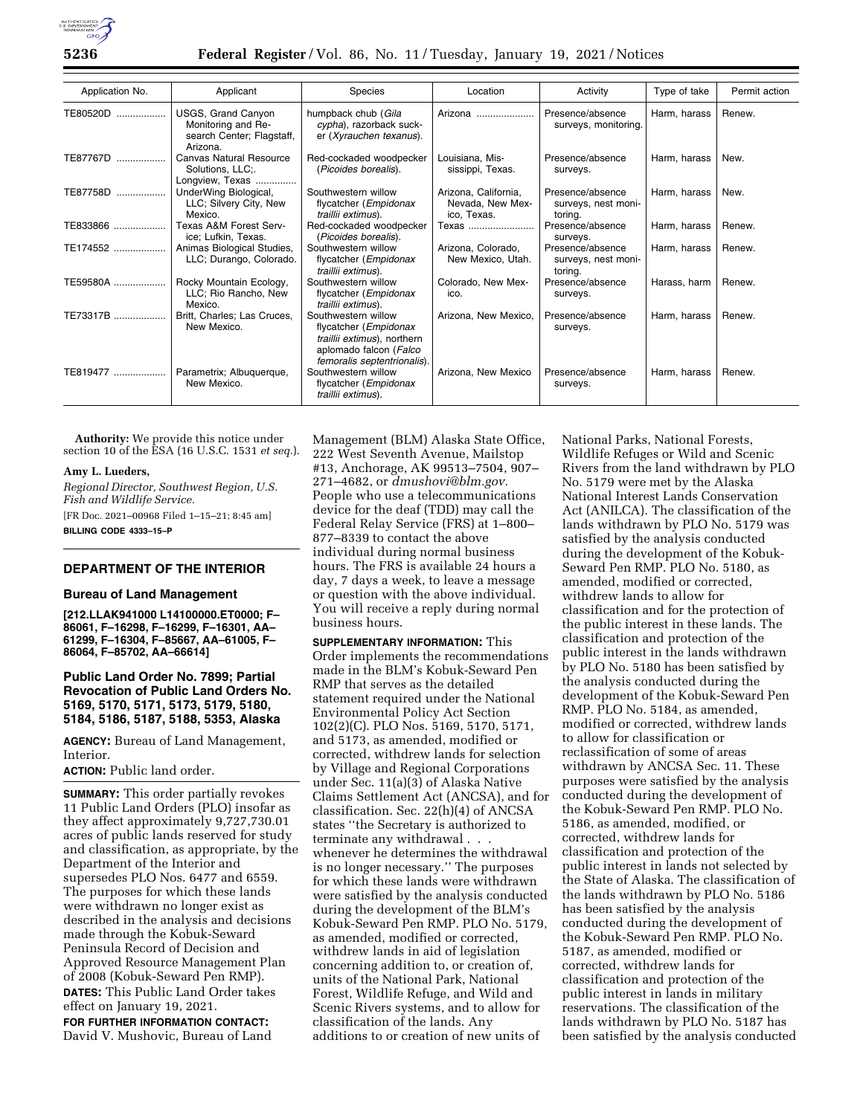

| Application No. | Applicant                                                                         | <b>Species</b>                                                                                                                       | Location                                                | Activity                                           | Type of take | Permit action |
|-----------------|-----------------------------------------------------------------------------------|--------------------------------------------------------------------------------------------------------------------------------------|---------------------------------------------------------|----------------------------------------------------|--------------|---------------|
| TE80520D<br>.   | USGS, Grand Canyon<br>Monitoring and Re-<br>search Center; Flagstaff,<br>Arizona. | humpback chub (Gila<br>cypha), razorback suck-<br>er (Xyrauchen texanus).                                                            | Arizona                                                 | Presence/absence<br>surveys, monitoring.           | Harm, harass | Renew.        |
| TE87767D        | Canvas Natural Resource<br>Solutions, LLC;.<br>Longview, Texas                    | Red-cockaded woodpecker<br>(Picoides borealis).                                                                                      | Louisiana. Mis-<br>sissippi, Texas.                     | Presence/absence<br>surveys.                       | Harm, harass | New.          |
| TE87758D        | UnderWing Biological,<br>LLC; Silvery City, New<br>Mexico.                        | Southwestern willow<br>flycatcher (Empidonax<br>traillii extimus).                                                                   | Arizona, California,<br>Nevada, New Mex-<br>ico, Texas. | Presence/absence<br>surveys, nest moni-<br>toring. | Harm, harass | New.          |
| TE833866        | Texas A&M Forest Serv-<br>ice; Lufkin, Texas.                                     | Red-cockaded woodpecker<br>(Picoides borealis).                                                                                      | Texas                                                   | Presence/absence<br>surveys.                       | Harm, harass | Renew.        |
| TE174552        | Animas Biological Studies,<br>LLC; Durango, Colorado.                             | Southwestern willow<br>flycatcher (Empidonax<br>traillii extimus).                                                                   | Arizona, Colorado,<br>New Mexico, Utah.                 | Presence/absence<br>surveys, nest moni-<br>toring. | Harm, harass | Renew.        |
| TE59580A        | Rocky Mountain Ecology,<br>LLC; Rio Rancho, New<br>Mexico.                        | Southwestern willow<br>flycatcher (Empidonax<br>traillii extimus).                                                                   | Colorado, New Mex-<br>ico.                              | Presence/absence<br>surveys.                       | Harass, harm | Renew.        |
| TE73317B        | Britt, Charles; Las Cruces,<br>New Mexico.                                        | Southwestern willow<br>flycatcher (Empidonax<br>traillii extimus), northern<br>aplomado falcon (Falco<br>femoralis septentrionalis). | Arizona, New Mexico,                                    | Presence/absence<br>surveys.                       | Harm, harass | Renew.        |
| TE819477        | Parametrix; Albuquerque,<br>New Mexico.                                           | Southwestern willow<br>flycatcher (Empidonax<br>traillii extimus).                                                                   | Arizona, New Mexico                                     | Presence/absence<br>surveys.                       | Harm, harass | Renew.        |

**Authority:** We provide this notice under section 10 of the ESA (16 U.S.C. 1531 *et seq.*).

#### **Amy L. Lueders,**

*Regional Director, Southwest Region, U.S. Fish and Wildlife Service.* 

[FR Doc. 2021–00968 Filed 1–15–21; 8:45 am] **BILLING CODE 4333–15–P** 

## **DEPARTMENT OF THE INTERIOR**

#### **Bureau of Land Management**

**[212.LLAK941000 L14100000.ET0000; F– 86061, F–16298, F–16299, F–16301, AA– 61299, F–16304, F–85667, AA–61005, F– 86064, F–85702, AA–66614]** 

## **Public Land Order No. 7899; Partial Revocation of Public Land Orders No. 5169, 5170, 5171, 5173, 5179, 5180, 5184, 5186, 5187, 5188, 5353, Alaska**

**AGENCY:** Bureau of Land Management, Interior.

## **ACTION:** Public land order.

**SUMMARY:** This order partially revokes 11 Public Land Orders (PLO) insofar as they affect approximately 9,727,730.01 acres of public lands reserved for study and classification, as appropriate, by the Department of the Interior and supersedes PLO Nos. 6477 and 6559. The purposes for which these lands were withdrawn no longer exist as described in the analysis and decisions made through the Kobuk-Seward Peninsula Record of Decision and Approved Resource Management Plan of 2008 (Kobuk-Seward Pen RMP). **DATES:** This Public Land Order takes effect on January 19, 2021. **FOR FURTHER INFORMATION CONTACT:**  David V. Mushovic, Bureau of Land

Management (BLM) Alaska State Office, 222 West Seventh Avenue, Mailstop #13, Anchorage, AK 99513–7504, 907– 271–4682, or *[dmushovi@blm.gov.](mailto:dmushovi@blm.gov)*  People who use a telecommunications device for the deaf (TDD) may call the Federal Relay Service (FRS) at 1–800– 877–8339 to contact the above individual during normal business hours. The FRS is available 24 hours a day, 7 days a week, to leave a message or question with the above individual. You will receive a reply during normal business hours.

**SUPPLEMENTARY INFORMATION:** This Order implements the recommendations made in the BLM's Kobuk-Seward Pen RMP that serves as the detailed statement required under the National Environmental Policy Act Section 102(2)(C). PLO Nos. 5169, 5170, 5171, and 5173, as amended, modified or corrected, withdrew lands for selection by Village and Regional Corporations under Sec. 11(a)(3) of Alaska Native Claims Settlement Act (ANCSA), and for classification. Sec. 22(h)(4) of ANCSA states ''the Secretary is authorized to terminate any withdrawal . . . whenever he determines the withdrawal is no longer necessary.'' The purposes for which these lands were withdrawn were satisfied by the analysis conducted during the development of the BLM's Kobuk-Seward Pen RMP. PLO No. 5179, as amended, modified or corrected, withdrew lands in aid of legislation concerning addition to, or creation of, units of the National Park, National Forest, Wildlife Refuge, and Wild and Scenic Rivers systems, and to allow for classification of the lands. Any additions to or creation of new units of

National Parks, National Forests, Wildlife Refuges or Wild and Scenic Rivers from the land withdrawn by PLO No. 5179 were met by the Alaska National Interest Lands Conservation Act (ANILCA). The classification of the lands withdrawn by PLO No. 5179 was satisfied by the analysis conducted during the development of the Kobuk-Seward Pen RMP. PLO No. 5180, as amended, modified or corrected, withdrew lands to allow for classification and for the protection of the public interest in these lands. The classification and protection of the public interest in the lands withdrawn by PLO No. 5180 has been satisfied by the analysis conducted during the development of the Kobuk-Seward Pen RMP. PLO No. 5184, as amended, modified or corrected, withdrew lands to allow for classification or reclassification of some of areas withdrawn by ANCSA Sec. 11. These purposes were satisfied by the analysis conducted during the development of the Kobuk-Seward Pen RMP. PLO No. 5186, as amended, modified, or corrected, withdrew lands for classification and protection of the public interest in lands not selected by the State of Alaska. The classification of the lands withdrawn by PLO No. 5186 has been satisfied by the analysis conducted during the development of the Kobuk-Seward Pen RMP. PLO No. 5187, as amended, modified or corrected, withdrew lands for classification and protection of the public interest in lands in military reservations. The classification of the lands withdrawn by PLO No. 5187 has been satisfied by the analysis conducted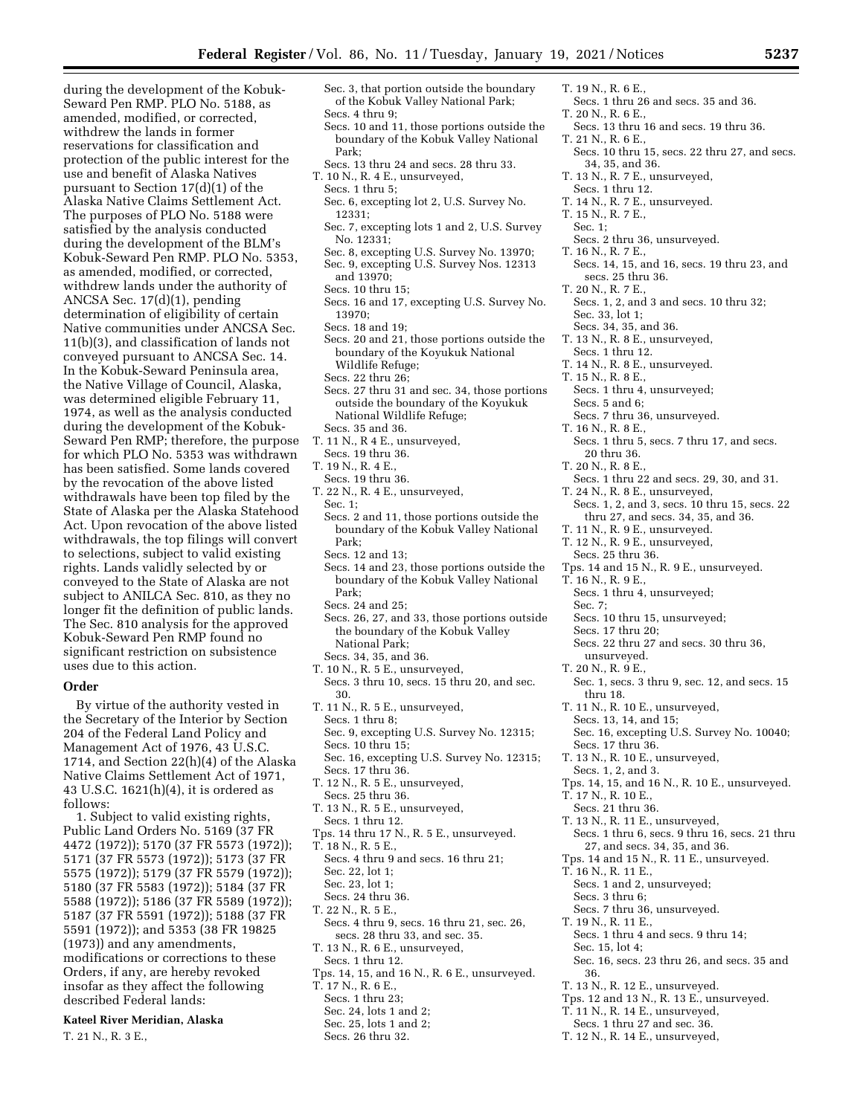during the development of the Kobuk-Seward Pen RMP. PLO No. 5188, as amended, modified, or corrected, withdrew the lands in former reservations for classification and protection of the public interest for the use and benefit of Alaska Natives pursuant to Section 17(d)(1) of the Alaska Native Claims Settlement Act. The purposes of PLO No. 5188 were satisfied by the analysis conducted during the development of the BLM's Kobuk-Seward Pen RMP. PLO No. 5353, as amended, modified, or corrected, withdrew lands under the authority of ANCSA Sec. 17(d)(1), pending determination of eligibility of certain Native communities under ANCSA Sec. 11(b)(3), and classification of lands not conveyed pursuant to ANCSA Sec. 14. In the Kobuk-Seward Peninsula area, the Native Village of Council, Alaska, was determined eligible February 11, 1974, as well as the analysis conducted during the development of the Kobuk-Seward Pen RMP; therefore, the purpose for which PLO No. 5353 was withdrawn has been satisfied. Some lands covered by the revocation of the above listed withdrawals have been top filed by the State of Alaska per the Alaska Statehood Act. Upon revocation of the above listed withdrawals, the top filings will convert to selections, subject to valid existing rights. Lands validly selected by or conveyed to the State of Alaska are not subject to ANILCA Sec. 810, as they no longer fit the definition of public lands. The Sec. 810 analysis for the approved Kobuk-Seward Pen RMP found no significant restriction on subsistence uses due to this action.

## **Order**

By virtue of the authority vested in the Secretary of the Interior by Section 204 of the Federal Land Policy and Management Act of 1976, 43 U.S.C. 1714, and Section 22(h)(4) of the Alaska Native Claims Settlement Act of 1971, 43 U.S.C. 1621(h)(4), it is ordered as follows:

1. Subject to valid existing rights, Public Land Orders No. 5169 (37 FR 4472 (1972)); 5170 (37 FR 5573 (1972)); 5171 (37 FR 5573 (1972)); 5173 (37 FR 5575 (1972)); 5179 (37 FR 5579 (1972)); 5180 (37 FR 5583 (1972)); 5184 (37 FR 5588 (1972)); 5186 (37 FR 5589 (1972)); 5187 (37 FR 5591 (1972)); 5188 (37 FR 5591 (1972)); and 5353 (38 FR 19825 (1973)) and any amendments, modifications or corrections to these Orders, if any, are hereby revoked insofar as they affect the following described Federal lands:

# **Kateel River Meridian, Alaska**  T. 21 N., R. 3 E.,

- Sec. 3, that portion outside the boundary of the Kobuk Valley National Park; Secs. 4 thru 9;
- Secs. 10 and 11, those portions outside the boundary of the Kobuk Valley National Park;
- Secs. 13 thru 24 and secs. 28 thru 33. T. 10 N., R. 4 E., unsurveyed,
- Secs. 1 thru 5;
- Sec. 6, excepting lot 2, U.S. Survey No. 12331;
- Sec. 7, excepting lots 1 and 2, U.S. Survey No. 12331;
- Sec. 8, excepting U.S. Survey No. 13970; Sec. 9, excepting U.S. Survey Nos. 12313 and 13970;
- Secs. 10 thru 15;
- Secs. 16 and 17, excepting U.S. Survey No. 13970;
- Secs. 18 and 19;
- Secs. 20 and 21, those portions outside the boundary of the Koyukuk National Wildlife Refuge;
- Secs. 22 thru 26;
- Secs. 27 thru 31 and sec. 34, those portions outside the boundary of the Koyukuk National Wildlife Refuge; Secs. 35 and 36.
- T. 11 N., R 4 E., unsurveyed,
- Secs. 19 thru 36.
- T. 19 N., R. 4 E.,
- Secs. 19 thru 36.
- T. 22 N., R. 4 E., unsurveyed, Sec. 1;
- Secs. 2 and 11, those portions outside the boundary of the Kobuk Valley National Park;
- Secs. 12 and 13;
- Secs. 14 and 23, those portions outside the boundary of the Kobuk Valley National Park;
- Secs. 24 and 25;
- Secs. 26, 27, and 33, those portions outside the boundary of the Kobuk Valley National Park;
- Secs. 34, 35, and 36.
- T. 10 N., R. 5 E., unsurveyed, Secs. 3 thru 10, secs. 15 thru 20, and sec. 30.
- T. 11 N., R. 5 E., unsurveyed, Secs. 1 thru 8; Sec. 9, excepting U.S. Survey No. 12315;
- Secs. 10 thru 15; Sec. 16, excepting U.S. Survey No. 12315;
- Secs. 17 thru 36.
- T. 12 N., R. 5 E., unsurveyed,
- Secs. 25 thru 36. T. 13 N., R. 5 E., unsurveyed, Secs. 1 thru 12.
- Tps. 14 thru 17 N., R. 5 E., unsurveyed.
- T. 18 N., R. 5 E.,
- Secs. 4 thru 9 and secs. 16 thru 21;
- Sec. 22, lot 1;
- Sec. 23, lot 1; Secs. 24 thru 36.
- T. 22 N., R. 5 E.,
- Secs. 4 thru 9, secs. 16 thru 21, sec. 26, secs. 28 thru 33, and sec. 35.
- T. 13 N., R. 6 E., unsurveyed, Secs. 1 thru 12.
- Tps. 14, 15, and 16 N., R. 6 E., unsurveyed.
- T. 17 N., R. 6 E.,
- Secs. 1 thru 23;
- Sec. 24, lots 1 and 2;
- Sec. 25, lots 1 and 2;
- Secs. 26 thru 32.
- T. 19 N., R. 6 E.,
- Secs. 1 thru 26 and secs. 35 and 36. T. 20 N., R. 6 E.,
- Secs. 13 thru 16 and secs. 19 thru 36. T. 21 N., R. 6 E.,
- Secs. 10 thru 15, secs. 22 thru 27, and secs.
- 34, 35, and 36.
- T. 13 N., R. 7 E., unsurveyed,
- Secs. 1 thru 12.
- T. 14 N., R. 7 E., unsurveyed.
- T. 15 N., R. 7 E.,
- Sec. 1; Secs. 2 thru 36, unsurveyed.
- T. 16 N., R. 7 E.,
- Secs. 14, 15, and 16, secs. 19 thru 23, and secs. 25 thru 36.
- T. 20 N., R. 7 E.,
- Secs. 1, 2, and 3 and secs. 10 thru 32; Sec. 33, lot 1;
- Secs. 34, 35, and 36.
- T. 13 N., R. 8 E., unsurveyed,
- Secs. 1 thru 12.
- T. 14 N., R. 8 E., unsurveyed.
- T. 15 N., R. 8 E.,
	- Secs. 1 thru 4, unsurveyed;
- Secs. 5 and 6;
- Secs. 7 thru 36, unsurveyed.
- T. 16 N., R. 8 E.,
- Secs. 1 thru 5, secs. 7 thru 17, and secs. 20 thru 36.
- T. 20 N., R. 8 E.,
- Secs. 1 thru 22 and secs. 29, 30, and 31.
- T. 24 N., R. 8 E., unsurveyed, Secs. 1, 2, and 3, secs. 10 thru 15, secs. 22 thru 27, and secs. 34, 35, and 36.
- T. 11 N., R. 9 E., unsurveyed.
- T. 12 N., R. 9 E., unsurveyed,
- Secs. 25 thru 36.
- Tps. 14 and 15 N., R. 9 E., unsurveyed.
- T. 16 N., R. 9 E.,
- Secs. 1 thru 4, unsurveyed; Sec. 7;
- Secs. 10 thru 15, unsurveyed;
- Secs. 17 thru 20;
- Secs. 22 thru 27 and secs. 30 thru 36,
- unsurveyed.
- T. 20 N., R. 9 E.,
- Sec. 1, secs. 3 thru 9, sec. 12, and secs. 15 thru 18.
- T. 11 N., R. 10 E., unsurveyed,
- Secs. 13, 14, and 15; Sec. 16, excepting U.S. Survey No. 10040;
- Secs. 17 thru 36.
- T. 13 N., R. 10 E., unsurveyed,

Secs. 1 and 2, unsurveyed;

Secs. 7 thru 36, unsurveyed.

T. 13 N., R. 12 E., unsurveyed.

Secs. 1 thru 4 and secs. 9 thru 14;

Tps. 12 and 13 N., R. 13 E., unsurveyed. T. 11 N., R. 14 E., unsurveyed, Secs. 1 thru 27 and sec. 36. T. 12 N., R. 14 E., unsurveyed,

Sec. 16, secs. 23 thru 26, and secs. 35 and

- Secs. 1, 2, and 3.
- Tps. 14, 15, and 16 N., R. 10 E., unsurveyed. T. 17 N., R. 10 E.,
- 
- Secs. 21 thru 36.
- T. 13 N., R. 11 E., unsurveyed, Secs. 1 thru 6, secs. 9 thru 16, secs. 21 thru 27, and secs. 34, 35, and 36.
- Tps. 14 and 15 N., R. 11 E., unsurveyed.
- T. 16 N., R. 11 E.,

Secs. 3 thru 6;

T. 19 N., R. 11 E.,

Sec. 15, lot 4;

36.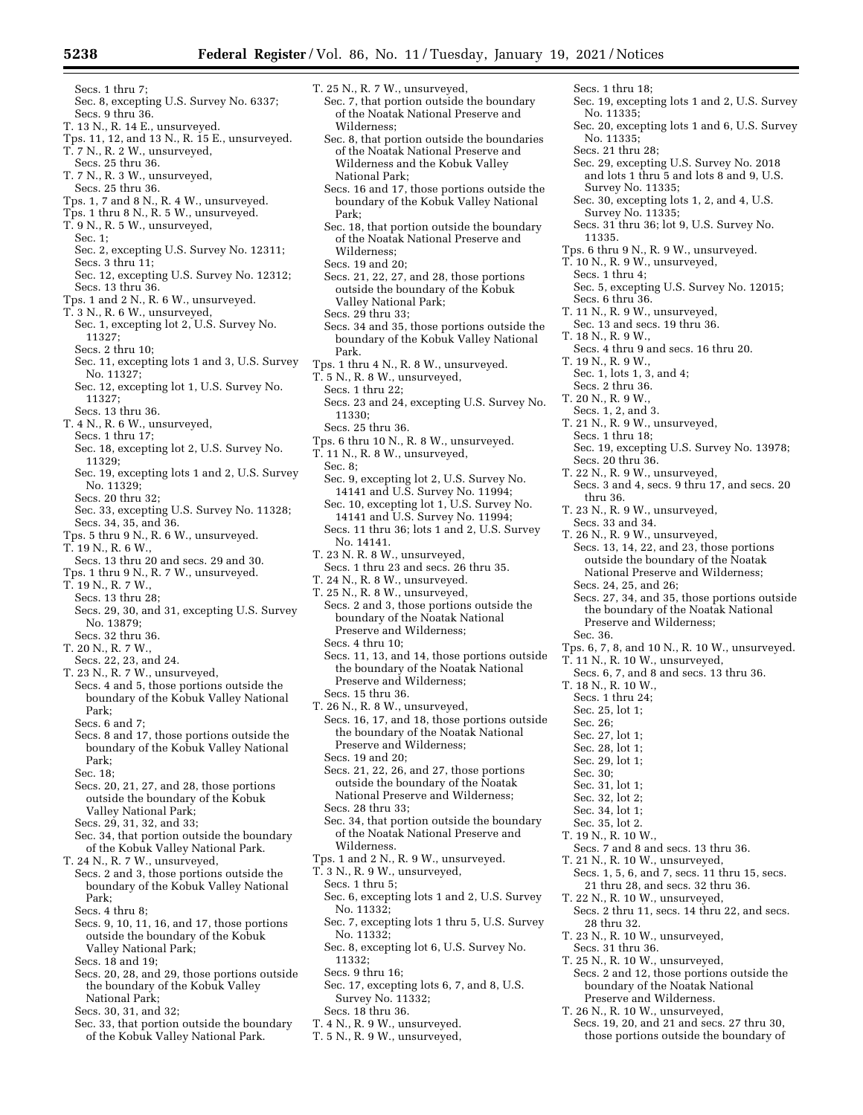- Secs. 1 thru 7; Sec. 8, excepting U.S. Survey No. 6337;
- Secs. 9 thru 36.
- T. 13 N., R. 14 E., unsurveyed. Tps. 11, 12, and 13 N., R. 15 E., unsurveyed.
- T. 7 N., R. 2 W., unsurveyed,
- Secs. 25 thru 36.
- T. 7 N., R. 3 W., unsurveyed,
- Secs. 25 thru 36.
- Tps. 1, 7 and 8 N., R. 4 W., unsurveyed.
- Tps. 1 thru 8 N., R. 5 W., unsurveyed.
- T. 9 N., R. 5 W., unsurveyed,
	- Sec. 1;
- Sec. 2, excepting U.S. Survey No. 12311; Secs. 3 thru 11;
- Sec. 12, excepting U.S. Survey No. 12312; Secs. 13 thru 36.
- Tps. 1 and 2 N., R. 6 W., unsurveyed.
- T. 3 N., R. 6 W., unsurveyed,
- Sec. 1, excepting lot 2, U.S. Survey No. 11327;
- Secs. 2 thru 10;
- Sec. 11, excepting lots 1 and 3, U.S. Survey No. 11327;
- Sec. 12, excepting lot 1, U.S. Survey No. 11327;
- Secs. 13 thru 36.
- T. 4 N., R. 6 W., unsurveyed,
	- Secs. 1 thru 17;
	- Sec. 18, excepting lot 2, U.S. Survey No. 11329;
- Sec. 19, excepting lots 1 and 2, U.S. Survey No. 11329;
- Secs. 20 thru 32;
- Sec. 33, excepting U.S. Survey No. 11328; Secs. 34, 35, and 36.
- Tps. 5 thru 9 N., R. 6 W., unsurveyed.
- T. 19 N., R. 6 W.
- Secs. 13 thru 20 and secs. 29 and 30.
- Tps. 1 thru 9 N., R. 7 W., unsurveyed.
- T. 19 N., R. 7 W.,
- Secs. 13 thru 28;
- Secs. 29, 30, and 31, excepting U.S. Survey No. 13879;
- Secs. 32 thru 36. T. 20 N., R. 7 W.,
- Secs. 22, 23, and 24.
- T. 23 N., R. 7 W., unsurveyed,
- Secs. 4 and 5, those portions outside the boundary of the Kobuk Valley National Park;
- Secs. 6 and 7;
- Secs. 8 and 17, those portions outside the boundary of the Kobuk Valley National Park;
- Sec. 18;
- Secs. 20, 21, 27, and 28, those portions outside the boundary of the Kobuk Valley National Park; Secs. 29, 31, 32, and 33;
- Sec. 34, that portion outside the boundary of the Kobuk Valley National Park.
- T. 24 N., R. 7 W., unsurveyed,
- Secs. 2 and 3, those portions outside the boundary of the Kobuk Valley National Park;
- Secs. 4 thru 8;
- Secs. 9, 10, 11, 16, and 17, those portions outside the boundary of the Kobuk Valley National Park;
- Secs. 18 and 19;
- Secs. 20, 28, and 29, those portions outside the boundary of the Kobuk Valley National Park;
- Secs. 30, 31, and 32;
- Sec. 33, that portion outside the boundary of the Kobuk Valley National Park.
- T. 25 N., R. 7 W., unsurveyed,
- Sec. 7, that portion outside the boundary of the Noatak National Preserve and Wilderness;
- Sec. 8, that portion outside the boundaries of the Noatak National Preserve and Wilderness and the Kobuk Valley National Park;
- Secs. 16 and 17, those portions outside the boundary of the Kobuk Valley National Park;
- Sec. 18, that portion outside the boundary of the Noatak National Preserve and Wilderness;
- Secs. 19 and 20;
- Secs. 21, 22, 27, and 28, those portions outside the boundary of the Kobuk Valley National Park;
- Secs. 29 thru 33;
- Secs. 34 and 35, those portions outside the boundary of the Kobuk Valley National Park.
- Tps. 1 thru 4 N., R. 8 W., unsurveyed.
- T. 5 N., R. 8 W., unsurveyed,
- Secs. 1 thru 22;
- Secs. 23 and 24, excepting U.S. Survey No. 11330;
- Secs. 25 thru 36.
- Tps. 6 thru 10 N., R. 8 W., unsurveyed.
- T. 11 N., R. 8 W., unsurveyed,
- Sec. 8;
- Sec. 9, excepting lot 2, U.S. Survey No. 14141 and U.S. Survey No. 11994; Sec. 10, excepting lot 1, U.S. Survey No. 14141 and U.S. Survey No. 11994;
- Secs. 11 thru 36; lots 1 and 2, U.S. Survey No. 14141.
- T. 23 N. R. 8 W., unsurveyed, Secs. 1 thru 23 and secs. 26 thru 35.
- T. 24 N., R. 8 W., unsurveyed.
- T. 25 N., R. 8 W., unsurveyed,
- Secs. 2 and 3, those portions outside the boundary of the Noatak National Preserve and Wilderness; Secs. 4 thru 10;
- Secs. 11, 13, and 14, those portions outside the boundary of the Noatak National Preserve and Wilderness;
- Secs. 15 thru 36.
- T. 26 N., R. 8 W., unsurveyed, Secs. 16, 17, and 18, those portions outside the boundary of the Noatak National Preserve and Wilderness;
- Secs. 19 and 20;
- Secs. 21, 22, 26, and 27, those portions outside the boundary of the Noatak National Preserve and Wilderness; Secs. 28 thru 33;
- Sec. 34, that portion outside the boundary of the Noatak National Preserve and Wilderness.
- Tps. 1 and 2 N., R. 9 W., unsurveyed.
- T. 3 N., R. 9 W., unsurveyed,
- Secs. 1 thru 5;
- Sec. 6, excepting lots 1 and 2, U.S. Survey No. 11332;
- Sec. 7, excepting lots 1 thru 5, U.S. Survey No. 11332;
- Sec. 8, excepting lot 6, U.S. Survey No. 11332;
- Secs. 9 thru 16;
- Sec. 17, excepting lots 6, 7, and 8, U.S. Survey No. 11332;
- Secs. 18 thru 36.
- T. 4 N., R. 9 W., unsurveyed.
- T. 5 N., R. 9 W., unsurveyed,
- Secs. 1 thru 18; Sec. 19, excepting lots 1 and 2, U.S. Survey No. 11335;
- Sec. 20, excepting lots 1 and 6, U.S. Survey No. 11335;
- Secs. 21 thru 28;
- Sec. 29, excepting U.S. Survey No. 2018 and lots 1 thru 5 and lots 8 and 9, U.S. Survey No. 11335;
- Sec. 30, excepting lots 1, 2, and 4, U.S. Survey No. 11335;
- Secs. 31 thru 36; lot 9, U.S. Survey No. 11335.

Sec. 5, excepting U.S. Survey No. 12015;

Sec. 19, excepting U.S. Survey No. 13978;

Secs. 3 and 4, secs. 9 thru 17, and secs. 20

Secs. 13, 14, 22, and 23, those portions outside the boundary of the Noatak National Preserve and Wilderness;

Secs. 27, 34, and 35, those portions outside the boundary of the Noatak National

Tps. 6, 7, 8, and 10 N., R. 10 W., unsurveyed.

Secs. 6, 7, and 8 and secs. 13 thru 36.

Secs. 7 and 8 and secs. 13 thru 36. T. 21 N., R. 10 W., unsurveyed,

Secs. 1, 5, 6, and 7, secs. 11 thru 15, secs. 21 thru 28, and secs. 32 thru 36. T. 22 N., R. 10 W., unsurveyed,

Secs. 2 thru 11, secs. 14 thru 22, and secs.

Secs. 2 and 12, those portions outside the boundary of the Noatak National Preserve and Wilderness. T. 26 N., R. 10 W., unsurveyed,

Secs. 19, 20, and 21 and secs. 27 thru 30, those portions outside the boundary of

Tps. 6 thru 9 N., R. 9 W., unsurveyed.

Secs. 4 thru 9 and secs. 16 thru 20.

T. 10 N., R. 9 W., unsurveyed, Secs. 1 thru 4;

T. 11 N., R. 9 W., unsurveyed, Sec. 13 and secs. 19 thru 36.

Secs. 6 thru 36.

T. 18 N., R. 9 W.,

T. 19 N., R. 9 W., Sec. 1, lots 1, 3, and 4; Secs. 2 thru 36. T. 20 N., R. 9 W., Secs. 1, 2, and 3. T. 21 N., R. 9 W., unsurveyed,

Secs. 1 thru 18;

Secs. 20 thru 36. T. 22 N., R. 9 W., unsurveyed,

T. 23 N., R. 9 W., unsurveyed, Secs. 33 and 34. T. 26 N., R. 9 W., unsurveyed,

Secs. 24, 25, and 26;

Preserve and Wilderness;

T. 11 N., R. 10 W., unsurveyed,

thru 36.

Sec. 36.

T. 18 N., R. 10 W., Secs. 1 thru 24; Sec. 25, lot 1; Sec. 26; Sec. 27, lot 1; Sec. 28, lot 1; Sec. 29, lot 1; Sec. 30; Sec. 31, lot 1; Sec. 32, lot 2; Sec. 34, lot 1; Sec. 35, lot 2. T. 19 N., R. 10 W.,

28 thru 32.

Secs. 31 thru 36.

T. 23 N., R. 10 W., unsurveyed,

T. 25 N., R. 10 W., unsurveyed,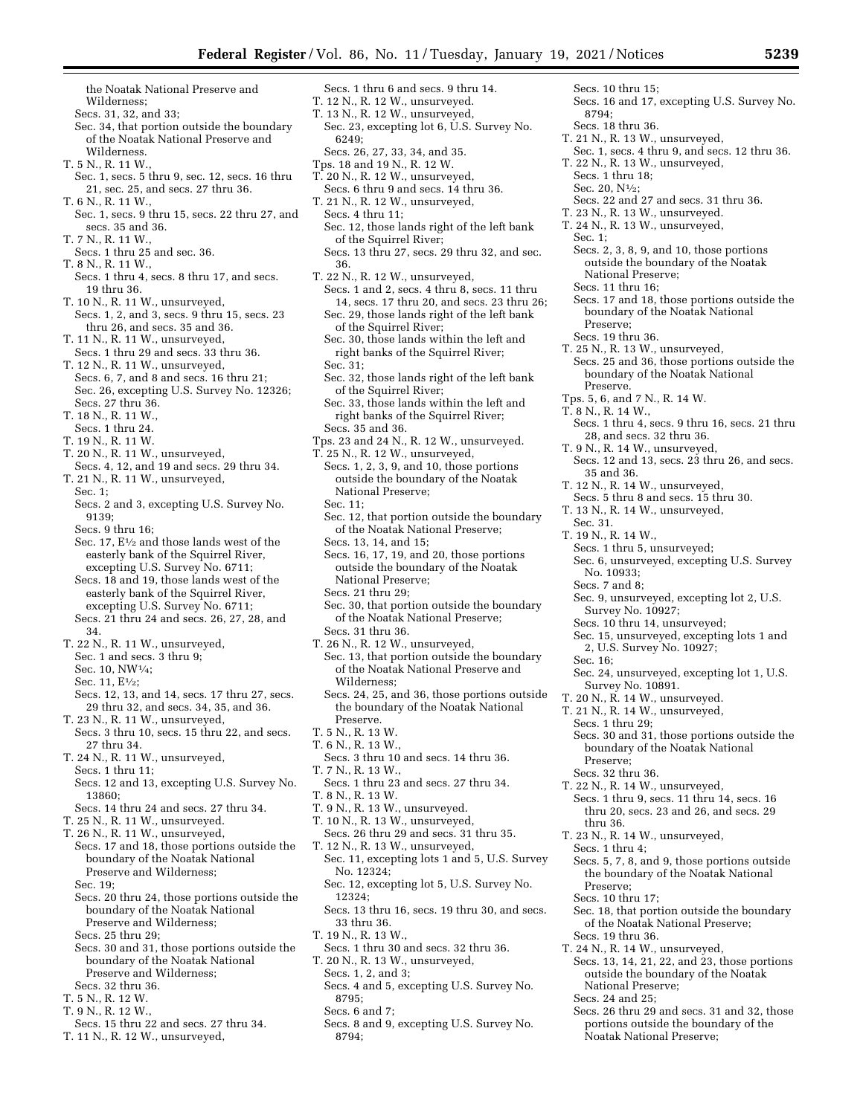Sec. 23, excepting lot 6, U.S. Survey No.

Secs. 1 thru 6 and secs. 9 thru 14. T. 12 N., R. 12 W., unsurveyed. T. 13 N., R. 12 W., unsurveyed,

Secs. 26, 27, 33, 34, and 35.

the Noatak National Preserve and Wilderness;

- Secs. 31, 32, and 33;
- Sec. 34, that portion outside the boundary of the Noatak National Preserve and Wilderness.
- T. 5 N., R. 11 W.,
- Sec. 1, secs. 5 thru 9, sec. 12, secs. 16 thru 21, sec. 25, and secs. 27 thru 36. T. 6 N., R. 11 W.,
- Sec. 1, secs. 9 thru 15, secs. 22 thru 27, and secs. 35 and 36.
- T. 7 N., R. 11 W., Secs. 1 thru 25 and sec. 36.
- T. 8 N., R. 11 W.,
- Secs. 1 thru 4, secs. 8 thru 17, and secs. 19 thru 36.
- T. 10 N., R. 11 W., unsurveyed, Secs. 1, 2, and 3, secs. 9 thru 15, secs. 23
- thru 26, and secs. 35 and 36. T. 11 N., R. 11 W., unsurveyed,
- Secs. 1 thru 29 and secs. 33 thru 36. T. 12 N., R. 11 W., unsurveyed, Secs. 6, 7, and 8 and secs. 16 thru 21;
- Sec. 26, excepting U.S. Survey No. 12326; Secs. 27 thru 36. T. 18 N., R. 11 W.,
- Secs. 1 thru 24.
- T. 19 N., R. 11 W.
- T. 20 N., R. 11 W., unsurveyed,
- Secs. 4, 12, and 19 and secs. 29 thru 34. T. 21 N., R. 11 W., unsurveyed, Sec. 1;
- Secs. 2 and 3, excepting U.S. Survey No. 9139;

Secs. 9 thru 16;

- Sec. 17, E<sup>1</sup>/<sub>2</sub> and those lands west of the easterly bank of the Squirrel River, excepting U.S. Survey No. 6711;
- Secs. 18 and 19, those lands west of the easterly bank of the Squirrel River, excepting U.S. Survey No. 6711; Secs. 21 thru 24 and secs. 26, 27, 28, and
- 34.
- T. 22 N., R. 11 W., unsurveyed,
- Sec. 1 and secs. 3 thru 9;
- Sec. 10, NW1⁄4;
- Sec. 11, E<sup>1</sup>/<sub>2</sub>:
- Secs. 12, 13, and 14, secs. 17 thru 27, secs. 29 thru 32, and secs. 34, 35, and 36. T. 23 N., R. 11 W., unsurveyed,
- Secs. 3 thru 10, secs. 15 thru 22, and secs. 27 thru 34.
- T. 24 N., R. 11 W., unsurveyed, Secs. 1 thru 11;
- Secs. 12 and 13, excepting U.S. Survey No. 13860;
- Secs. 14 thru 24 and secs. 27 thru 34.
- T. 25 N., R. 11 W., unsurveyed.
- T. 26 N., R. 11 W., unsurveyed,
- Secs. 17 and 18, those portions outside the boundary of the Noatak National Preserve and Wilderness; Sec. 19;
- Secs. 20 thru 24, those portions outside the boundary of the Noatak National
- Preserve and Wilderness;
- Secs. 25 thru 29;
- Secs. 30 and 31, those portions outside the boundary of the Noatak National Preserve and Wilderness; Secs. 32 thru 36.
- 
- T. 5 N., R. 12 W.
- T. 9 N., R. 12 W.,
- Secs. 15 thru 22 and secs. 27 thru 34.
- T. 11 N., R. 12 W., unsurveyed,
- Tps. 18 and 19 N., R. 12 W. T. 20 N., R. 12 W., unsurveyed, Secs. 6 thru 9 and secs. 14 thru 36. T. 21 N., R. 12 W., unsurveyed, Secs. 4 thru 11; Sec. 12, those lands right of the left bank of the Squirrel River; Secs. 13 thru 27, secs. 29 thru 32, and sec. 36.
- T. 22 N., R. 12 W., unsurveyed, Secs. 1 and 2, secs. 4 thru 8, secs. 11 thru 14, secs. 17 thru 20, and secs. 23 thru 26; Sec. 29, those lands right of the left bank of the Squirrel River;
	- Sec. 30, those lands within the left and right banks of the Squirrel River;
	- Sec. 31;

6249;

- Sec. 32, those lands right of the left bank of the Squirrel River;
- Sec. 33, those lands within the left and right banks of the Squirrel River; Secs. 35 and 36.
- Tps. 23 and 24 N., R. 12 W., unsurveyed.
- T. 25 N., R. 12 W., unsurveyed, Secs. 1, 2, 3, 9, and 10, those portions outside the boundary of the Noatak National Preserve;
	- Sec. 11;
	- Sec. 12, that portion outside the boundary of the Noatak National Preserve;
	- Secs. 13, 14, and 15;
	- Secs. 16, 17, 19, and 20, those portions outside the boundary of the Noatak National Preserve;
	- Secs. 21 thru 29;
	- Sec. 30, that portion outside the boundary of the Noatak National Preserve; Secs. 31 thru 36.
- T. 26 N., R. 12 W., unsurveyed,
- Sec. 13, that portion outside the boundary of the Noatak National Preserve and Wilderness;
- Secs. 24, 25, and 36, those portions outside the boundary of the Noatak National Preserve.
- T. 5 N., R. 13 W.
- T. 6 N., R. 13 W.,
- Secs. 3 thru 10 and secs. 14 thru 36.
- T. 7 N., R. 13 W.,
- Secs. 1 thru 23 and secs. 27 thru 34. T. 8 N., R. 13 W.
- 
- T. 9 N., R. 13 W., unsurveyed. T. 10 N., R. 13 W., unsurveyed,
- Secs. 26 thru 29 and secs. 31 thru 35.
- T. 12 N., R. 13 W., unsurveyed,
- Sec. 11, excepting lots 1 and 5, U.S. Survey No. 12324; Sec. 12, excepting lot 5, U.S. Survey No.
- 12324;
- Secs. 13 thru 16, secs. 19 thru 30, and secs. 33 thru 36.
- T. 19 N., R. 13 W.,
- Secs. 1 thru 30 and secs. 32 thru 36.
- T. 20 N., R. 13 W., unsurveyed, Secs. 1, 2, and 3;
	- Secs. 4 and 5, excepting U.S. Survey No. 8795;
	- Secs. 6 and 7;
	- Secs. 8 and 9, excepting U.S. Survey No. 8794;

T. 24 N., R. 13 W., unsurveyed, Sec. 1; Secs. 2, 3, 8, 9, and 10, those portions outside the boundary of the Noatak National Preserve; Secs. 11 thru 16; Secs. 17 and 18, those portions outside the

Secs. 16 and 17, excepting U.S. Survey No.

Sec. 1, secs. 4 thru 9, and secs. 12 thru 36.

Secs. 22 and 27 and secs. 31 thru 36. T. 23 N., R. 13 W., unsurveyed.

- boundary of the Noatak National Preserve;
- Secs. 19 thru 36. T. 25 N., R. 13 W., unsurveyed,

Secs. 10 thru 15;

Secs. 1 thru 18; Sec. 20, N1⁄2;

T. 21 N., R. 13 W., unsurveyed,

T. 22 N., R. 13 W., unsurveyed,

8794; Secs. 18 thru 36.

- Secs. 25 and 36, those portions outside the boundary of the Noatak National Preserve.
- Tps. 5, 6, and 7 N., R. 14 W.
- T. 8 N., R. 14 W.,
	- Secs. 1 thru 4, secs. 9 thru 16, secs. 21 thru 28, and secs. 32 thru 36.
	- T. 9 N., R. 14 W., unsurveyed, Secs. 12 and 13, secs. 23 thru 26, and secs.
	- 35 and 36.
	- T. 12 N., R. 14 W., unsurveyed,
	- Secs. 5 thru 8 and secs. 15 thru 30.
	- T. 13 N., R. 14 W., unsurveyed,
		- Sec. 31.
	- T. 19 N., R. 14 W.,
		- Secs. 1 thru 5, unsurveyed; Sec. 6, unsurveyed, excepting U.S. Survey No. 10933;
	- Secs. 7 and 8;
	- Sec. 9, unsurveyed, excepting lot 2, U.S.
	- Survey No. 10927;

Survey No. 10891. T. 20 N., R. 14 W., unsurveyed. T. 21 N., R. 14 W., unsurveyed,

T. 22 N., R. 14 W., unsurveyed,

T. 23 N., R. 14 W., unsurveyed,

T. 24 N., R. 14 W., unsurveyed,

Noatak National Preserve;

National Preserve; Secs. 24 and 25;

Secs. 1 thru 29;

Preserve; Secs. 32 thru 36.

thru 36.

Secs. 1 thru 4;

Preserve; Secs. 10 thru 17;

Secs. 19 thru 36.

- Secs. 10 thru 14, unsurveyed;
- Sec. 15, unsurveyed, excepting lots 1 and 2, U.S. Survey No. 10927; Sec. 16;

Sec. 24, unsurveyed, excepting lot 1, U.S.

Secs. 30 and 31, those portions outside the boundary of the Noatak National

Secs. 1 thru 9, secs. 11 thru 14, secs. 16 thru 20, secs. 23 and 26, and secs. 29

Secs. 5, 7, 8, and 9, those portions outside the boundary of the Noatak National

Sec. 18, that portion outside the boundary of the Noatak National Preserve;

Secs. 13, 14, 21, 22, and 23, those portions outside the boundary of the Noatak

Secs. 26 thru 29 and secs. 31 and 32, those portions outside the boundary of the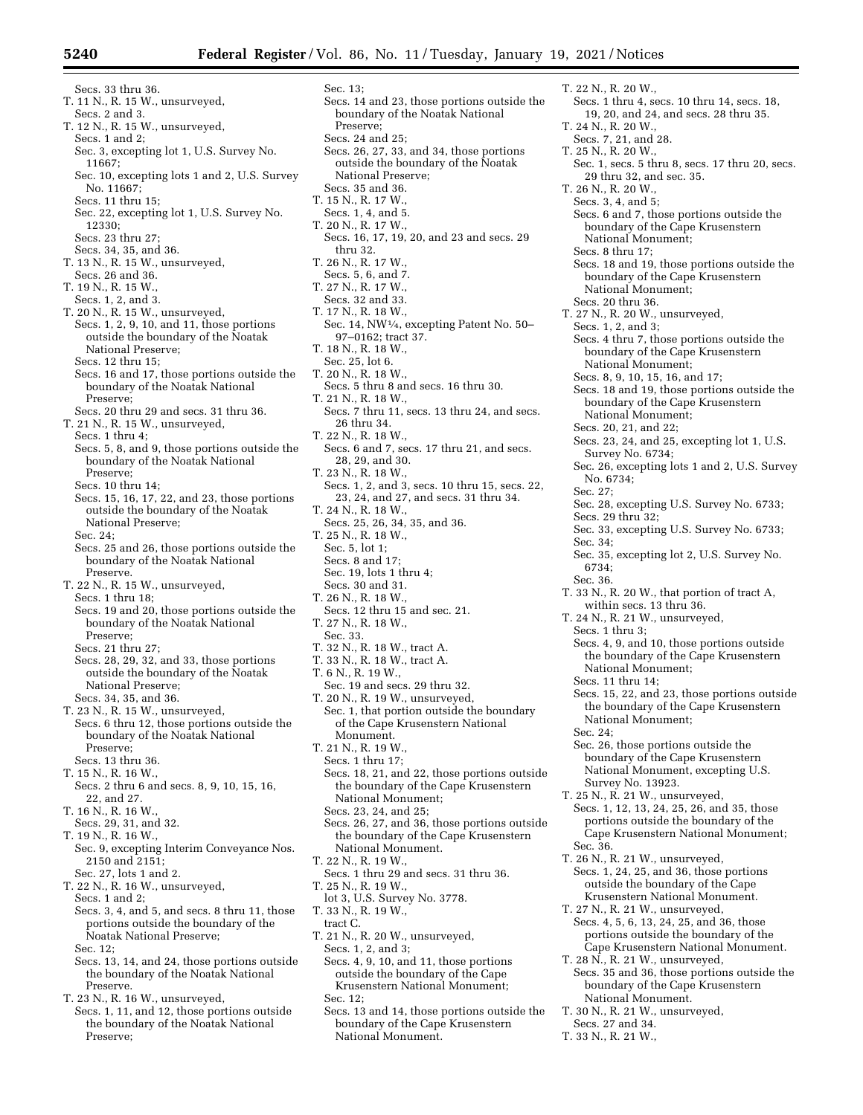Sec. 13;

Secs. 33 thru 36. T. 11 N., R. 15 W., unsurveyed, Secs. 2 and 3. T. 12 N., R. 15 W., unsurveyed, Secs. 1 and 2; Sec. 3, excepting lot 1, U.S. Survey No. 11667; Sec. 10, excepting lots 1 and 2, U.S. Survey No. 11667; Secs. 11 thru 15; Sec. 22, excepting lot 1, U.S. Survey No. 12330; Secs. 23 thru 27; Secs. 34, 35, and 36. T. 13 N., R. 15 W., unsurveyed, Secs. 26 and 36. T. 19 N., R. 15 W., Secs. 1, 2, and 3. T. 20 N., R. 15 W., unsurveyed, Secs. 1, 2, 9, 10, and 11, those portions outside the boundary of the Noatak National Preserve; Secs. 12 thru 15; Secs. 16 and 17, those portions outside the boundary of the Noatak National Preserve; Secs. 20 thru 29 and secs. 31 thru 36. T. 21 N., R. 15 W., unsurveyed, Secs. 1 thru 4; Secs. 5, 8, and 9, those portions outside the boundary of the Noatak National Preserve; Secs. 10 thru 14; Secs. 15, 16, 17, 22, and 23, those portions outside the boundary of the Noatak National Preserve; Sec. 24; Secs. 25 and 26, those portions outside the boundary of the Noatak National Preserve. T. 22 N., R. 15 W., unsurveyed, Secs. 1 thru 18; Secs. 19 and 20, those portions outside the boundary of the Noatak National Preserve; Secs. 21 thru 27; Secs. 28, 29, 32, and 33, those portions outside the boundary of the Noatak National Preserve; Secs. 34, 35, and 36. T. 23 N., R. 15 W., unsurveyed, Secs. 6 thru 12, those portions outside the boundary of the Noatak National Preserve<sup>:</sup> Secs. 13 thru 36. T. 15 N., R. 16 W., Secs. 2 thru 6 and secs. 8, 9, 10, 15, 16, 22, and 27. T. 16 N., R. 16 W. Secs. 29, 31, and 32. T. 19 N., R. 16 W., Sec. 9, excepting Interim Conveyance Nos. 2150 and 2151; Sec. 27, lots 1 and 2. T. 22 N., R. 16 W., unsurveyed, Secs. 1 and 2; Secs. 3, 4, and 5, and secs. 8 thru 11, those portions outside the boundary of the Noatak National Preserve;

- Sec. 12;
- Secs. 13, 14, and 24, those portions outside the boundary of the Noatak National Preserve.

T. 23 N., R. 16 W., unsurveyed,

Secs. 1, 11, and 12, those portions outside the boundary of the Noatak National Preserve;

Secs. 14 and 23, those portions outside the boundary of the Noatak National Preserve; Secs. 24 and 25; Secs. 26, 27, 33, and 34, those portions outside the boundary of the Noatak National Preserve; Secs. 35 and 36. T. 15 N., R. 17 W., Secs. 1, 4, and 5. T. 20 N., R. 17 W., Secs. 16, 17, 19, 20, and 23 and secs. 29 thru 32. T. 26 N., R. 17 W., Secs. 5, 6, and 7. T. 27 N., R. 17 W., Secs. 32 and 33. T. 17 N., R. 18 W., Sec. 14, NW1⁄4, excepting Patent No. 50– 97–0162; tract 37. T. 18 N., R. 18 W., Sec. 25, lot 6. T. 20 N., R. 18 W., Secs. 5 thru 8 and secs. 16 thru 30. T. 21 N., R. 18 W., Secs. 7 thru 11, secs. 13 thru 24, and secs. 26 thru 34. T. 22 N., R. 18 W., Secs. 6 and 7, secs. 17 thru 21, and secs. 28, 29, and 30. T. 23 N., R. 18 W., Secs. 1, 2, and 3, secs. 10 thru 15, secs. 22, 23, 24, and 27, and secs. 31 thru 34. T. 24 N., R. 18 W., Secs. 25, 26, 34, 35, and 36. T. 25 N., R. 18 W., Sec. 5, lot 1; Secs. 8 and 17; Sec. 19, lots 1 thru 4; Secs. 30 and 31. T. 26 N., R. 18 W., Secs. 12 thru 15 and sec. 21. T. 27 N., R. 18 W., Sec. 33. T. 32 N., R. 18 W., tract A. T. 33 N., R. 18 W., tract A. T. 6 N., R. 19 W., Sec. 19 and secs. 29 thru 32. T. 20 N., R. 19 W., unsurveyed, Sec. 1, that portion outside the boundary of the Cape Krusenstern National Monument. T. 21 N., R. 19 W., Secs. 1 thru 17; Secs. 18, 21, and 22, those portions outside the boundary of the Cape Krusenstern National Monument; Secs. 23, 24, and 25; Secs. 26, 27, and 36, those portions outside the boundary of the Cape Krusenstern National Monument. T. 22 N., R. 19 W., Secs. 1 thru 29 and secs. 31 thru 36. T. 25 N., R. 19 W., lot 3, U.S. Survey No. 3778. T. 33 N., R. 19 W., tract C. T. 21 N., R. 20 W., unsurveyed, Secs. 1, 2, and 3; Secs. 4, 9, 10, and 11, those portions outside the boundary of the Cape Krusenstern National Monument; Sec. 12; Secs. 13 and 14, those portions outside the

- boundary of the Cape Krusenstern National Monument.
- T. 22 N., R. 20 W., Secs. 1 thru 4, secs. 10 thru 14, secs. 18, 19, 20, and 24, and secs. 28 thru 35. T. 24 N., R. 20 W., Secs. 7, 21, and 28. T. 25 N., R. 20 W., Sec. 1, secs. 5 thru 8, secs. 17 thru 20, secs. 29 thru 32, and sec. 35. T. 26 N., R. 20 W., Secs. 3, 4, and 5; Secs. 6 and 7, those portions outside the boundary of the Cape Krusenstern National Monument; Secs. 8 thru 17; Secs. 18 and 19, those portions outside the boundary of the Cape Krusenstern National Monument; Secs. 20 thru 36. T. 27 N., R. 20 W., unsurveyed, Secs. 1, 2, and 3; Secs. 4 thru 7, those portions outside the boundary of the Cape Krusenstern National Monument; Secs. 8, 9, 10, 15, 16, and 17; Secs. 18 and 19, those portions outside the boundary of the Cape Krusenstern National Monument; Secs. 20, 21, and 22; Secs. 23, 24, and 25, excepting lot 1, U.S. Survey No. 6734; Sec. 26, excepting lots 1 and 2, U.S. Survey No. 6734; Sec. 27; Sec. 28, excepting U.S. Survey No. 6733; Secs. 29 thru 32; Sec. 33, excepting U.S. Survey No. 6733; Sec. 34; Sec. 35, excepting lot 2, U.S. Survey No. 6734; Sec. 36. T. 33 N., R. 20 W., that portion of tract A, within secs. 13 thru 36. T. 24 N., R. 21 W., unsurveyed, Secs. 1 thru 3; Secs. 4, 9, and 10, those portions outside the boundary of the Cape Krusenstern National Monument; Secs. 11 thru 14; Secs. 15, 22, and 23, those portions outside the boundary of the Cape Krusenstern National Monument; Sec. 24; Sec. 26, those portions outside the boundary of the Cape Krusenstern National Monument, excepting U.S. Survey No. 13923. T. 25 N., R. 21 W., unsurveyed, Secs. 1, 12, 13, 24, 25, 26, and 35, those portions outside the boundary of the Cape Krusenstern National Monument; Sec. 36. T. 26 N., R. 21 W., unsurveyed, Secs. 1, 24, 25, and 36, those portions outside the boundary of the Cape Krusenstern National Monument. T. 27 N., R. 21 W., unsurveyed, Secs. 4, 5, 6, 13, 24, 25, and 36, those portions outside the boundary of the Cape Krusenstern National Monument. T. 28 N., R. 21 W., unsurveyed, Secs. 35 and 36, those portions outside the boundary of the Cape Krusenstern National Monument.
- T. 30 N., R. 21 W., unsurveyed,
- Secs. 27 and 34.
- T. 33 N., R. 21 W.,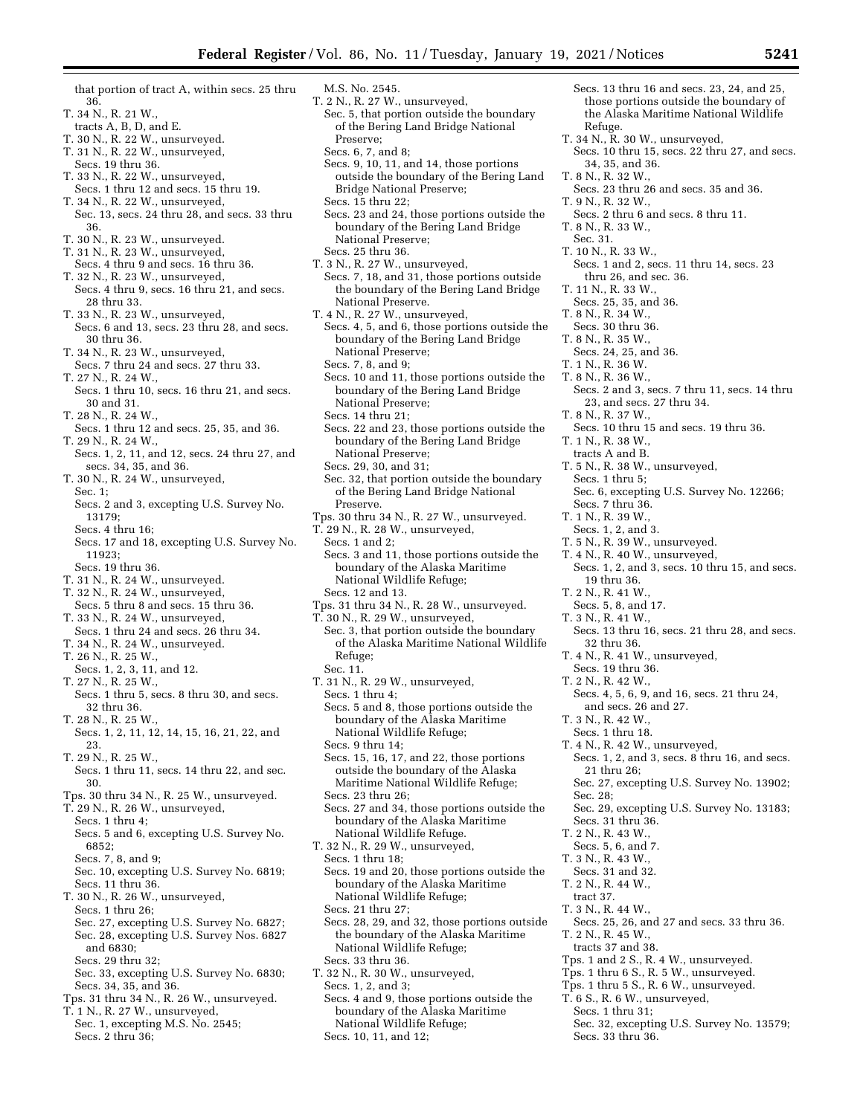that portion of tract A, within secs. 25 thru 36.

- T. 34 N., R. 21 W.,
- tracts A, B, D, and E.
- T. 30 N., R. 22 W., unsurveyed. T. 31 N., R. 22 W., unsurveyed,
- Secs. 19 thru 36.
- T. 33 N., R. 22 W., unsurveyed,
- Secs. 1 thru 12 and secs. 15 thru 19. T. 34 N., R. 22 W., unsurveyed,
- Sec. 13, secs. 24 thru 28, and secs. 33 thru 36.
- T. 30 N., R. 23 W., unsurveyed.
- T. 31 N., R. 23 W., unsurveyed,
- Secs. 4 thru 9 and secs. 16 thru 36. T. 32 N., R. 23 W., unsurveyed,
- Secs. 4 thru 9, secs. 16 thru 21, and secs. 28 thru 33.
- T. 33 N., R. 23 W., unsurveyed, Secs. 6 and 13, secs. 23 thru 28, and secs. 30 thru 36.

T. 34 N., R. 23 W., unsurveyed, Secs. 7 thru 24 and secs. 27 thru 33.

- T. 27 N., R. 24 W., Secs. 1 thru 10, secs. 16 thru 21, and secs. 30 and 31.
- T. 28 N., R. 24 W.,
- Secs. 1 thru 12 and secs. 25, 35, and 36. T. 29 N., R. 24 W.,
- Secs. 1, 2, 11, and 12, secs. 24 thru 27, and secs. 34, 35, and 36.
- T. 30 N., R. 24 W., unsurveyed, Sec. 1; Secs. 2 and 3, excepting U.S. Survey No.
	- 13179;
	- Secs. 4 thru 16;
- Secs. 17 and 18, excepting U.S. Survey No. 11923;
- Secs. 19 thru 36.
- T. 31 N., R. 24 W., unsurveyed.
- T. 32 N., R. 24 W., unsurveyed,
- Secs. 5 thru 8 and secs. 15 thru 36. T. 33 N., R. 24 W., unsurveyed,
- Secs. 1 thru 24 and secs. 26 thru 34.
- T. 34 N., R. 24 W., unsurveyed.
- T. 26 N., R. 25 W.,
- Secs. 1, 2, 3, 11, and 12. T. 27 N., R. 25 W.,
- Secs. 1 thru 5, secs. 8 thru 30, and secs. 32 thru 36.
- T. 28 N., R. 25 W. Secs. 1, 2, 11, 12, 14, 15, 16, 21, 22, and 23.
- T. 29 N., R. 25 W.,
- Secs. 1 thru 11, secs. 14 thru 22, and sec. 30.
- Tps. 30 thru 34 N., R. 25 W., unsurveyed.
- T. 29 N., R. 26 W., unsurveyed,
- Secs. 1 thru 4; Secs. 5 and 6, excepting U.S. Survey No. 6852;
- Secs. 7, 8, and 9;
- Sec. 10, excepting U.S. Survey No. 6819; Secs. 11 thru 36.
- T. 30 N., R. 26 W., unsurveyed,
- Secs. 1 thru 26;
- Sec. 27, excepting U.S. Survey No. 6827; Sec. 28, excepting U.S. Survey Nos. 6827 and 6830;
- Secs. 29 thru 32;
- Sec. 33, excepting U.S. Survey No. 6830; Secs. 34, 35, and 36.
- Tps. 31 thru 34 N., R. 26 W., unsurveyed.
- T. 1 N., R. 27 W., unsurveyed,
- Sec. 1, excepting M.S. No. 2545; Secs. 2 thru 36;
- M.S. No. 2545. T. 2 N., R. 27 W., unsurveyed, Sec. 5, that portion outside the boundary of the Bering Land Bridge National Preserve;
- Secs. 6, 7, and 8;
- Secs. 9, 10, 11, and 14, those portions outside the boundary of the Bering Land Bridge National Preserve; Secs. 15 thru 22;
- Secs. 23 and 24, those portions outside the boundary of the Bering Land Bridge National Preserve;
- Secs. 25 thru 36.
- T. 3 N., R. 27 W., unsurveyed, Secs. 7, 18, and 31, those portions outside the boundary of the Bering Land Bridge National Preserve.
- T. 4 N., R. 27 W., unsurveyed, Secs. 4, 5, and 6, those portions outside the boundary of the Bering Land Bridge National Preserve;
- Secs. 7, 8, and 9;
- Secs. 10 and 11, those portions outside the boundary of the Bering Land Bridge National Preserve;
- Secs. 14 thru 21;
- Secs. 22 and 23, those portions outside the boundary of the Bering Land Bridge National Preserve;
- Secs. 29, 30, and 31;
- Sec. 32, that portion outside the boundary of the Bering Land Bridge National Preserve.
- Tps. 30 thru 34 N., R. 27 W., unsurveyed.
- T. 29 N., R. 28 W., unsurveyed,
- Secs. 1 and 2;
- Secs. 3 and 11, those portions outside the boundary of the Alaska Maritime National Wildlife Refuge; Secs. 12 and 13.
- Tps. 31 thru 34 N., R. 28 W., unsurveyed.
- T. 30 N., R. 29 W., unsurveyed,
- Sec. 3, that portion outside the boundary of the Alaska Maritime National Wildlife Refuge; Sec. 11.
- T. 31 N., R. 29 W., unsurveyed,
- Secs. 1 thru 4;
- Secs. 5 and 8, those portions outside the boundary of the Alaska Maritime National Wildlife Refuge;
- Secs. 9 thru 14;
- Secs. 15, 16, 17, and 22, those portions outside the boundary of the Alaska Maritime National Wildlife Refuge; Secs. 23 thru 26;
- Secs. 27 and 34, those portions outside the boundary of the Alaska Maritime National Wildlife Refuge.
- T. 32 N., R. 29 W., unsurveyed, Secs. 1 thru 18;
- Secs. 19 and 20, those portions outside the boundary of the Alaska Maritime National Wildlife Refuge; Secs. 21 thru 27;
- Secs. 28, 29, and 32, those portions outside
- the boundary of the Alaska Maritime National Wildlife Refuge; Secs. 33 thru 36.
- T. 32 N., R. 30 W., unsurveyed, Secs. 1, 2, and 3;
- 
- Secs. 4 and 9, those portions outside the boundary of the Alaska Maritime National Wildlife Refuge; Secs. 10, 11, and 12;
- Secs. 13 thru 16 and secs. 23, 24, and 25, those portions outside the boundary of the Alaska Maritime National Wildlife Refuge.
- T. 34 N., R. 30 W., unsurveyed,
- Secs. 10 thru 15, secs. 22 thru 27, and secs. 34, 35, and 36.
- T. 8 N., R. 32 W.,
- Secs. 23 thru 26 and secs. 35 and 36.
- T. 9 N., R. 32 W.,
	- Secs. 2 thru 6 and secs. 8 thru 11. T. 8 N., R. 33 W.,
	- Sec. 31.
	- T. 10 N., R. 33 W.,
	- Secs. 1 and 2, secs. 11 thru 14, secs. 23 thru 26, and sec. 36.
- T. 11 N., R. 33 W.
- Secs. 25, 35, and 36.
- T. 8 N., R. 34 W.,
- Secs. 30 thru 36.
- T. 8 N., R. 35 W.,
	- Secs. 24, 25, and 36.

23, and secs. 27 thru 34.

T. 5 N., R. 38 W., unsurveyed,

Secs. 10 thru 15 and secs. 19 thru 36.

Sec. 6, excepting U.S. Survey No. 12266;

Secs. 1, 2, and 3, secs. 10 thru 15, and secs.

Secs. 13 thru 16, secs. 21 thru 28, and secs.

Secs. 4, 5, 6, 9, and 16, secs. 21 thru 24,

Secs. 1, 2, and 3, secs. 8 thru 16, and secs.

Sec. 27, excepting U.S. Survey No. 13902;

Sec. 29, excepting U.S. Survey No. 13183;

Secs. 25, 26, and 27 and secs. 33 thru 36.

Sec. 32, excepting U.S. Survey No. 13579;

Tps. 1 and 2 S., R. 4 W., unsurveyed. Tps. 1 thru 6 S., R. 5 W., unsurveyed. Tps. 1 thru 5 S., R. 6 W., unsurveyed. T. 6 S., R. 6 W., unsurveyed, Secs. 1 thru 31;

T. 1 N., R. 36 W.

T. 8 N., R. 37 W.,

T. 1 N., R. 38 W., tracts A and B.

Secs. 1 thru 5;

Secs. 7 thru 36. T. 1 N., R. 39 W., Secs. 1, 2, and 3. T. 5 N., R. 39 W., unsurveyed. T. 4 N., R. 40 W., unsurveyed,

19 thru 36. T. 2 N., R. 41 W., Secs. 5, 8, and 17. T. 3 N., R. 41 W.,

32 thru 36.

T. 3 N., R. 42 W., Secs. 1 thru 18.

21 thru 26;

Secs. 31 thru 36. T. 2 N., R. 43 W., Secs. 5, 6, and 7. T. 3 N., R. 43 W., Secs. 31 and 32. T. 2 N., R. 44 W., tract 37. T. 3 N., R. 44 W.,

T. 2 N., R. 45 W., tracts 37 and 38.

Secs. 33 thru 36.

Sec. 28;

T. 4 N., R. 41 W., unsurveyed, Secs. 19 thru 36. T. 2 N., R. 42 W.,

and secs. 26 and 27.

T. 4 N., R. 42 W., unsurveyed,

T. 8 N., R. 36 W., Secs. 2 and 3, secs. 7 thru 11, secs. 14 thru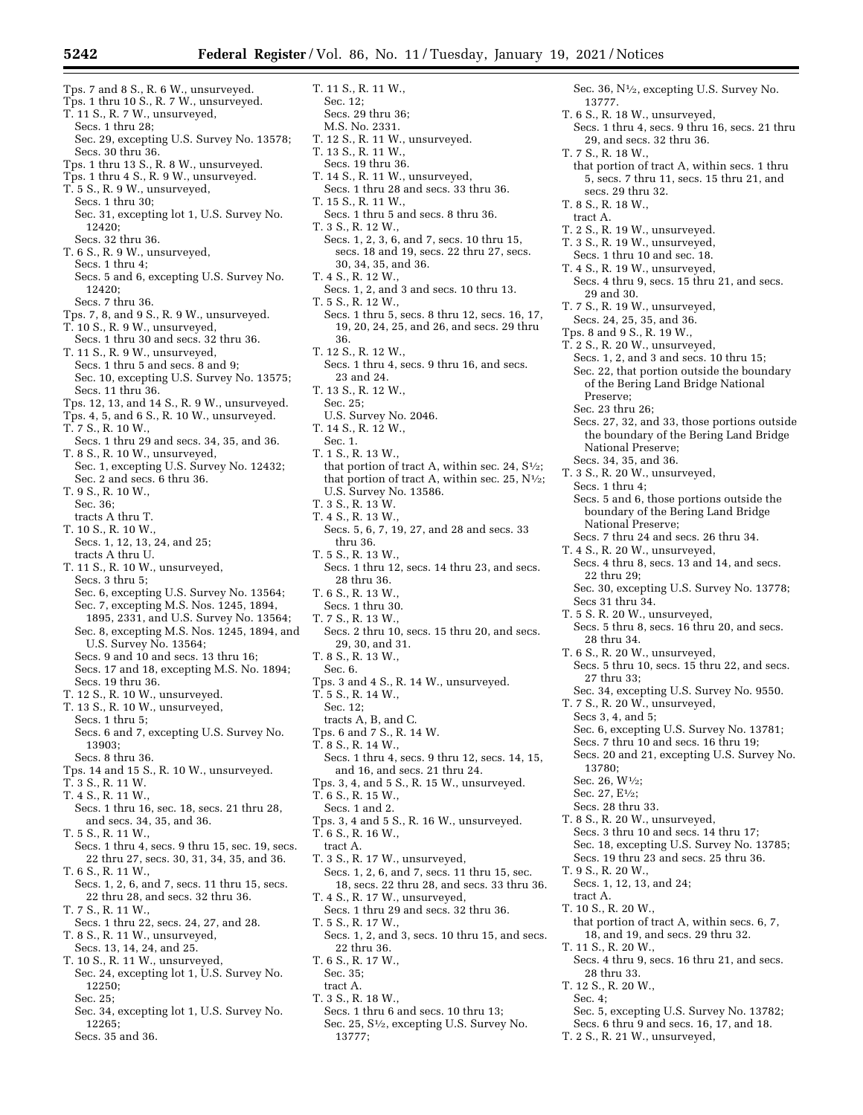Tps. 7 and 8 S., R. 6 W., unsurveyed. Tps. 1 thru 10 S., R. 7 W., unsurveyed. T. 11 S., R. 7 W., unsurveyed, Secs. 1 thru 28; Sec. 29, excepting U.S. Survey No. 13578; Secs. 30 thru 36. Tps. 1 thru 13 S., R. 8 W., unsurveyed. Tps. 1 thru 4 S., R. 9 W., unsurveyed. T. 5 S., R. 9 W., unsurveyed, Secs. 1 thru 30; Sec. 31, excepting lot 1, U.S. Survey No. 12420; Secs. 32 thru 36. T. 6 S., R. 9 W., unsurveyed, Secs. 1 thru 4; Secs. 5 and 6, excepting U.S. Survey No. 12420; Secs. 7 thru 36. Tps. 7, 8, and 9 S., R. 9 W., unsurveyed. T. 10 S., R. 9 W., unsurveyed, Secs. 1 thru 30 and secs. 32 thru 36. T. 11 S., R. 9 W., unsurveyed, Secs. 1 thru 5 and secs. 8 and 9; Sec. 10, excepting U.S. Survey No. 13575; Secs. 11 thru 36. Tps. 12, 13, and 14 S., R. 9 W., unsurveyed. Tps. 4, 5, and 6 S., R. 10 W., unsurveyed. T. 7 S., R. 10 W., Secs. 1 thru 29 and secs. 34, 35, and 36. T. 8 S., R. 10 W., unsurveyed, Sec. 1, excepting U.S. Survey No. 12432; Sec. 2 and secs. 6 thru 36. T. 9 S., R. 10 W., Sec. 36; tracts A thru T. T. 10 S., R. 10 W., Secs. 1, 12, 13, 24, and 25; tracts A thru U. T. 11 S., R. 10 W., unsurveyed, Secs. 3 thru 5; Sec. 6, excepting U.S. Survey No. 13564; Sec. 7, excepting M.S. Nos. 1245, 1894, 1895, 2331, and U.S. Survey No. 13564; Sec. 8, excepting M.S. Nos. 1245, 1894, and U.S. Survey No. 13564; Secs. 9 and 10 and secs. 13 thru 16; Secs. 17 and 18, excepting M.S. No. 1894; Secs. 19 thru 36. T. 12 S., R. 10 W., unsurveyed. T. 13 S., R. 10 W., unsurveyed, Secs. 1 thru 5; Secs. 6 and 7, excepting U.S. Survey No. 13903; Secs. 8 thru 36. Tps. 14 and 15 S., R. 10 W., unsurveyed. T. 3 S., R. 11 W. T. 4 S., R. 11 W., Secs. 1 thru 16, sec. 18, secs. 21 thru 28, and secs. 34, 35, and 36. T. 5 S., R. 11 W., Secs. 1 thru 4, secs. 9 thru 15, sec. 19, secs. 22 thru 27, secs. 30, 31, 34, 35, and 36. T. 6 S., R. 11 W., Secs. 1, 2, 6, and 7, secs. 11 thru 15, secs. 22 thru 28, and secs. 32 thru 36. T. 7 S., R. 11 W., Secs. 1 thru 22, secs. 24, 27, and 28. T. 8 S., R. 11 W., unsurveyed, Secs. 13, 14, 24, and 25. T. 10 S., R. 11 W., unsurveyed, Sec. 24, excepting lot 1, U.S. Survey No. 12250; Sec. 25;

- Sec. 34, excepting lot 1, U.S. Survey No. 12265;
- Secs. 35 and 36.

T. 11 S., R. 11 W., Sec. 12; Secs. 29 thru 36; M.S. No. 2331. T. 12 S., R. 11 W., unsurveyed. T. 13 S., R. 11 W., Secs. 19 thru 36. T. 14 S., R. 11 W., unsurveyed, Secs. 1 thru 28 and secs. 33 thru 36. T. 15 S., R. 11 W., Secs. 1 thru 5 and secs. 8 thru 36. T. 3 S., R. 12 W., Secs. 1, 2, 3, 6, and 7, secs. 10 thru 15, secs. 18 and 19, secs. 22 thru 27, secs. 30, 34, 35, and 36. T. 4 S., R. 12 W., Secs. 1, 2, and 3 and secs. 10 thru 13. T. 5 S., R. 12 W., Secs. 1 thru 5, secs. 8 thru 12, secs. 16, 17, 19, 20, 24, 25, and 26, and secs. 29 thru 36. T. 12 S., R. 12 W., Secs. 1 thru 4, secs. 9 thru 16, and secs. 23 and 24. T. 13 S., R. 12 W., Sec. 25; U.S. Survey No. 2046. T. 14 S., R. 12 W., Sec. 1. T. 1 S., R. 13 W., that portion of tract A, within sec. 24,  $S\frac{1}{2}$ ; that portion of tract A, within sec. 25,  $N^{1/2}$ ; U.S. Survey No. 13586. T. 3 S., R. 13 W. T. 4 S., R. 13 W., Secs. 5, 6, 7, 19, 27, and 28 and secs. 33 thru 36. T. 5 S., R. 13 W. Secs. 1 thru 12, secs. 14 thru 23, and secs. 28 thru 36. T. 6 S., R. 13 W., Secs. 1 thru 30. T. 7 S., R. 13 W., Secs. 2 thru 10, secs. 15 thru 20, and secs. 29, 30, and 31. T. 8 S., R. 13 W., Sec. 6. Tps. 3 and 4 S., R. 14 W., unsurveyed. T. 5 S., R. 14 W., Sec. 12; tracts A, B, and C. Tps. 6 and 7 S., R. 14 W. T. 8 S., R. 14 W., Secs. 1 thru 4, secs. 9 thru 12, secs. 14, 15, and 16, and secs. 21 thru 24. Tps. 3, 4, and 5 S., R. 15 W., unsurveyed. T. 6 S., R. 15 W., Secs. 1 and 2. Tps. 3, 4 and 5 S., R. 16 W., unsurveyed. T. 6 S., R. 16 W., tract A. T. 3 S., R. 17 W., unsurveyed, Secs. 1, 2, 6, and 7, secs. 11 thru 15, sec. 18, secs. 22 thru 28, and secs. 33 thru 36. T. 4 S., R. 17 W., unsurveyed, Secs. 1 thru 29 and secs. 32 thru 36. T. 5 S., R. 17 W., Secs. 1, 2, and 3, secs. 10 thru 15, and secs. 22 thru 36.

- T. 6 S., R. 17 W.,
- Sec. 35;
- tract A.
- T. 3 S., R. 18 W.,
- Secs. 1 thru 6 and secs. 10 thru 13; Sec. 25, S1⁄2, excepting U.S. Survey No. 13777;

Sec. 36, N<sup>1</sup>/<sub>2</sub>, excepting U.S. Survey No. 13777. T. 6 S., R. 18 W., unsurveyed, Secs. 1 thru 4, secs. 9 thru 16, secs. 21 thru 29, and secs. 32 thru 36. T. 7 S., R. 18 W., that portion of tract A, within secs. 1 thru 5, secs. 7 thru 11, secs. 15 thru 21, and secs. 29 thru 32. T. 8 S., R. 18 W., tract A. T. 2 S., R. 19 W., unsurveyed. T. 3 S., R. 19 W., unsurveyed, Secs. 1 thru 10 and sec. 18. T. 4 S., R. 19 W., unsurveyed, Secs. 4 thru 9, secs. 15 thru 21, and secs. 29 and 30. T. 7 S., R. 19 W., unsurveyed, Secs. 24, 25, 35, and 36. Tps. 8 and 9 S., R. 19 W., T. 2 S., R. 20 W., unsurveyed, Secs. 1, 2, and 3 and secs. 10 thru 15; Sec. 22, that portion outside the boundary of the Bering Land Bridge National Preserve; Sec. 23 thru 26; Secs. 27, 32, and 33, those portions outside the boundary of the Bering Land Bridge National Preserve; Secs. 34, 35, and 36. T. 3 S., R. 20 W., unsurveyed, Secs. 1 thru 4; Secs. 5 and 6, those portions outside the boundary of the Bering Land Bridge National Preserve; Secs. 7 thru 24 and secs. 26 thru 34. T. 4 S., R. 20 W., unsurveyed, Secs. 4 thru 8, secs. 13 and 14, and secs. 22 thru 29; Sec. 30, excepting U.S. Survey No. 13778; Secs 31 thru 34. T. 5 S. R. 20 W., unsurveyed, Secs. 5 thru 8, secs. 16 thru 20, and secs. 28 thru 34. T. 6 S., R. 20 W., unsurveyed, Secs. 5 thru 10, secs. 15 thru 22, and secs. 27 thru 33; Sec. 34, excepting U.S. Survey No. 9550. T. 7 S., R. 20 W., unsurveyed, Secs 3, 4, and 5; Sec. 6, excepting U.S. Survey No. 13781; Secs. 7 thru 10 and secs. 16 thru 19; Secs. 20 and 21, excepting U.S. Survey No. 13780; Sec. 26, W1⁄2; Sec. 27, E1⁄2; Secs. 28 thru 33. T. 8 S., R. 20 W., unsurveyed, Secs. 3 thru 10 and secs. 14 thru 17; Sec. 18, excepting U.S. Survey No. 13785; Secs. 19 thru 23 and secs. 25 thru 36. T. 9 S., R. 20 W., Secs. 1, 12, 13, and 24; tract A. T. 10 S., R. 20 W., that portion of tract A, within secs. 6, 7, 18, and 19, and secs. 29 thru 32. T. 11 S., R. 20 W., Secs. 4 thru 9, secs. 16 thru 21, and secs. 28 thru 33. T. 12 S., R. 20 W., Sec. 4;

- Sec. 5, excepting U.S. Survey No. 13782;
- Secs. 6 thru 9 and secs. 16, 17, and 18.
- T. 2 S., R. 21 W., unsurveyed,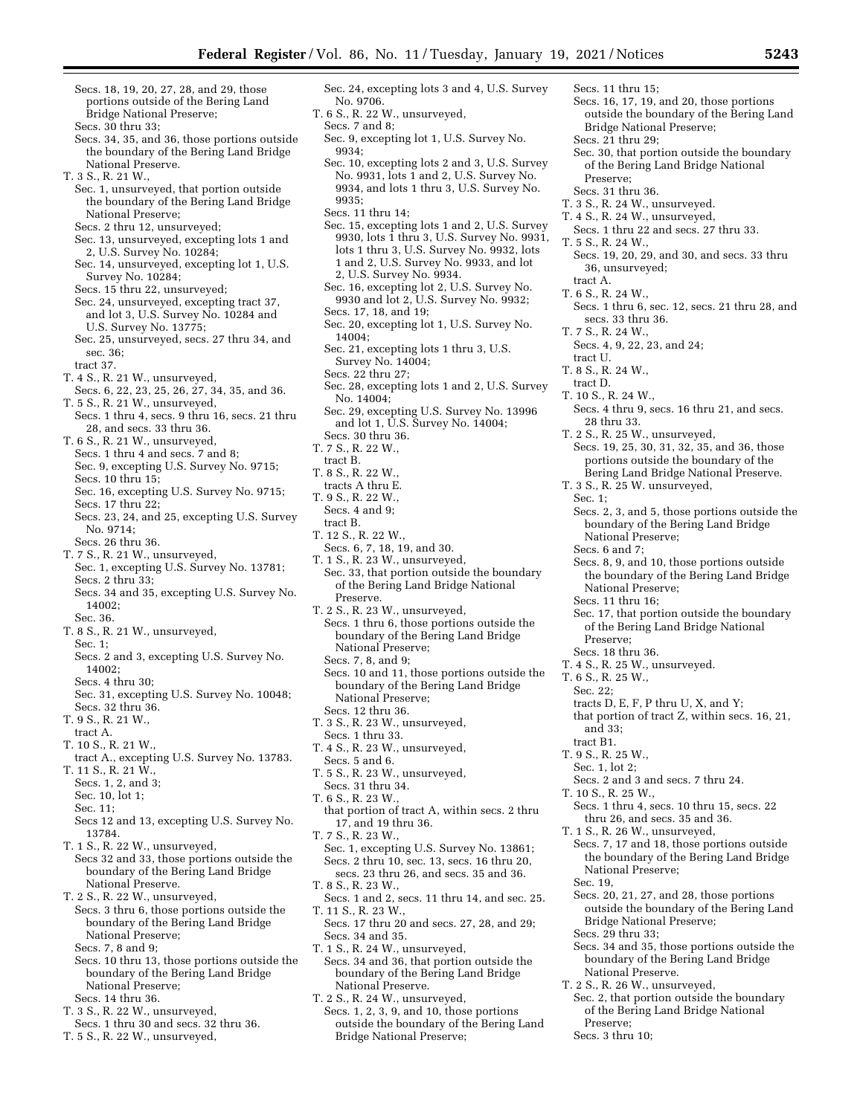Sec. 24, excepting lots 3 and 4, U.S. Survey

- Secs. 18, 19, 20, 27, 28, and 29, those portions outside of the Bering Land Bridge National Preserve; Secs. 30 thru 33;
- Secs. 34, 35, and 36, those portions outside the boundary of the Bering Land Bridge National Preserve.

T. 3 S., R. 21 W.,

- Sec. 1, unsurveyed, that portion outside the boundary of the Bering Land Bridge National Preserve;
- Secs. 2 thru 12, unsurveyed;
- Sec. 13, unsurveyed, excepting lots 1 and 2, U.S. Survey No. 10284;
- Sec. 14, unsurveyed, excepting lot 1, U.S. Survey No. 10284;
- Secs. 15 thru 22, unsurveyed;
- Sec. 24, unsurveyed, excepting tract 37, and lot 3, U.S. Survey No. 10284 and U.S. Survey No. 13775;
- Sec. 25, unsurveyed, secs. 27 thru 34, and sec. 36; tract 37.
- T. 4 S., R. 21 W., unsurveyed,
- Secs. 6, 22, 23, 25, 26, 27, 34, 35, and 36. T. 5 S., R. 21 W., unsurveyed,
- Secs. 1 thru 4, secs. 9 thru 16, secs. 21 thru 28, and secs. 33 thru 36.
- T. 6 S., R. 21 W., unsurveyed,
- Secs. 1 thru 4 and secs. 7 and 8; Sec. 9, excepting U.S. Survey No. 9715;
- Secs. 10 thru 15;
- Sec. 16, excepting U.S. Survey No. 9715; Secs. 17 thru 22;
- Secs. 23, 24, and 25, excepting U.S. Survey No. 9714;
- Secs. 26 thru 36.
- T. 7 S., R. 21 W., unsurveyed, Sec. 1, excepting U.S. Survey No. 13781; Secs. 2 thru 33;
- Secs. 34 and 35, excepting U.S. Survey No. 14002;
- Sec. 36.
- T. 8 S., R. 21 W., unsurveyed, Sec. 1;
- Secs. 2 and 3, excepting U.S. Survey No. 14002;
- Secs. 4 thru 30;
- Sec. 31, excepting U.S. Survey No. 10048; Secs. 32 thru 36.
- T. 9 S., R. 21 W.,
- tract A. T. 10 S., R. 21 W.,
- tract A., excepting U.S. Survey No. 13783. T. 11 S., R. 21 W.,
- Secs. 1, 2, and 3;
- Sec. 10, lot 1;
- Sec. 11;
- Secs 12 and 13, excepting U.S. Survey No. 13784.
- T. 1 S., R. 22 W., unsurveyed, Secs 32 and 33, those portions outside the boundary of the Bering Land Bridge National Preserve.
- T. 2 S., R. 22 W., unsurveyed,
- Secs. 3 thru 6, those portions outside the boundary of the Bering Land Bridge National Preserve;
- Secs. 7, 8 and 9; Secs. 10 thru 13, those portions outside the
- boundary of the Bering Land Bridge National Preserve; Secs. 14 thru 36.
- T. 3 S., R. 22 W., unsurveyed,
- Secs. 1 thru 30 and secs. 32 thru 36.
- T. 5 S., R. 22 W., unsurveyed,
- T. 6 S., R. 22 W., unsurveyed, Secs. 7 and 8; Sec. 9, excepting lot 1, U.S. Survey No. 9934; Sec. 10, excepting lots 2 and 3, U.S. Survey No. 9931, lots 1 and 2, U.S. Survey No. 9934, and lots 1 thru 3, U.S. Survey No. 9935; Secs. 11 thru 14; Sec. 15, excepting lots 1 and 2, U.S. Survey 9930, lots 1 thru 3, U.S. Survey No. 9931, lots 1 thru 3, U.S. Survey No. 9932, lots 1 and 2, U.S. Survey No. 9933, and lot
- 2, U.S. Survey No. 9934. Sec. 16, excepting lot 2, U.S. Survey No. 9930 and lot 2, U.S. Survey No. 9932; Secs. 17, 18, and 19;
- Sec. 20, excepting lot 1, U.S. Survey No. 14004;
- Sec. 21, excepting lots 1 thru 3, U.S. Survey No. 14004;
- Secs. 22 thru 27;

No. 9706.

- Sec. 28, excepting lots 1 and 2, U.S. Survey No. 14004;
- Sec. 29, excepting U.S. Survey No. 13996 and lot 1, U.S. Survey No. 14004; Secs. 30 thru 36.
- T. 7 S., R. 22 W.,
- tract B.
- T. 8 S., R. 22 W., tracts A thru E.
- T. 9 S., R. 22 W.,
- Secs. 4 and 9;
- tract B.
- T. 12 S., R. 22 W.,
- Secs. 6, 7, 18, 19, and 30.
- T. 1 S., R. 23 W., unsurveyed, Sec. 33, that portion outside the boundary of the Bering Land Bridge National Preserve.
- T. 2 S., R. 23 W., unsurveyed, Secs. 1 thru 6, those portions outside the boundary of the Bering Land Bridge National Preserve;
- Secs. 7, 8, and 9;
- Secs. 10 and 11, those portions outside the boundary of the Bering Land Bridge National Preserve; Secs. 12 thru 36.
- T. 3 S., R. 23 W., unsurveyed,
- Secs. 1 thru 33.
- T. 4 S., R. 23 W., unsurveyed, Secs. 5 and 6.
- T. 5 S., R. 23 W., unsurveyed, Secs. 31 thru 34.
- T. 6 S., R. 23 W.,
- that portion of tract A, within secs. 2 thru 17, and 19 thru 36.
- T. 7 S., R. 23 W., Sec. 1, excepting U.S. Survey No. 13861; Secs. 2 thru 10, sec. 13, secs. 16 thru 20,
- secs. 23 thru 26, and secs. 35 and 36.
- T. 8 S., R. 23 W.,
- Secs. 1 and 2, secs. 11 thru 14, and sec. 25. T. 11 S., R. 23 W.,
- Secs. 17 thru 20 and secs. 27, 28, and 29; Secs. 34 and 35.
- T. 1 S., R. 24 W., unsurveyed, Secs. 34 and 36, that portion outside the boundary of the Bering Land Bridge National Preserve.
- T. 2 S., R. 24 W., unsurveyed,
- Secs. 1, 2, 3, 9, and 10, those portions outside the boundary of the Bering Land Bridge National Preserve;
- Secs. 11 thru 15;
- Secs. 16, 17, 19, and 20, those portions outside the boundary of the Bering Land Bridge National Preserve;
- Secs. 21 thru 29;
	- Sec. 30, that portion outside the boundary of the Bering Land Bridge National Preserve;
- Secs. 31 thru 36.
- T. 3 S., R. 24 W., unsurveyed.
- T. 4 S., R. 24 W., unsurveyed, Secs. 1 thru 22 and secs. 27 thru 33. T. 5 S., R. 24 W.,
- Secs. 19, 20, 29, and 30, and secs. 33 thru 36, unsurveyed;
- tract A.
- T. 6 S., R. 24 W.,
	- Secs. 1 thru 6, sec. 12, secs. 21 thru 28, and secs. 33 thru 36.
- T. 7 S., R. 24 W.,
- Secs. 4, 9, 22, 23, and 24;
- tract U.
- T. 8 S., R. 24 W., tract D.
- 
- T. 10 S., R. 24 W., Secs. 4 thru 9, secs. 16 thru 21, and secs.
- 28 thru 33.
- T. 2 S., R. 25 W., unsurveyed,
- Secs. 19, 25, 30, 31, 32, 35, and 36, those portions outside the boundary of the Bering Land Bridge National Preserve.
- T. 3 S., R. 25 W. unsurveyed,
- Sec. 1;
	- Secs. 2, 3, and 5, those portions outside the boundary of the Bering Land Bridge National Preserve;
	- Secs. 6 and 7;

Preserve; Secs. 18 thru 36. T. 4 S., R. 25 W., unsurveyed.

T. 6 S., R. 25 W., Sec. 22;

and 33; tract B1. T. 9 S., R. 25 W., Sec. 1, lot 2;

T. 10 S., R. 25 W.,

Sec. 19,

National Preserve;

National Preserve. T. 2 S., R. 26 W., unsurveyed,

Secs. 29 thru 33;

Preserve; Secs. 3 thru 10;

Secs. 8, 9, and 10, those portions outside the boundary of the Bering Land Bridge National Preserve; Secs. 11 thru 16;

Sec. 17, that portion outside the boundary of the Bering Land Bridge National

tracts D, E, F, P thru U, X, and Y; that portion of tract Z, within secs. 16, 21,

Secs. 2 and 3 and secs. 7 thru 24.

Secs. 1 thru 4, secs. 10 thru 15, secs. 22 thru 26, and secs. 35 and 36. T. 1 S., R. 26 W., unsurveyed,

Secs. 7, 17 and 18, those portions outside the boundary of the Bering Land Bridge

Secs. 20, 21, 27, and 28, those portions outside the boundary of the Bering Land

Secs. 34 and 35, those portions outside the boundary of the Bering Land Bridge

Sec. 2, that portion outside the boundary of the Bering Land Bridge National

Bridge National Preserve;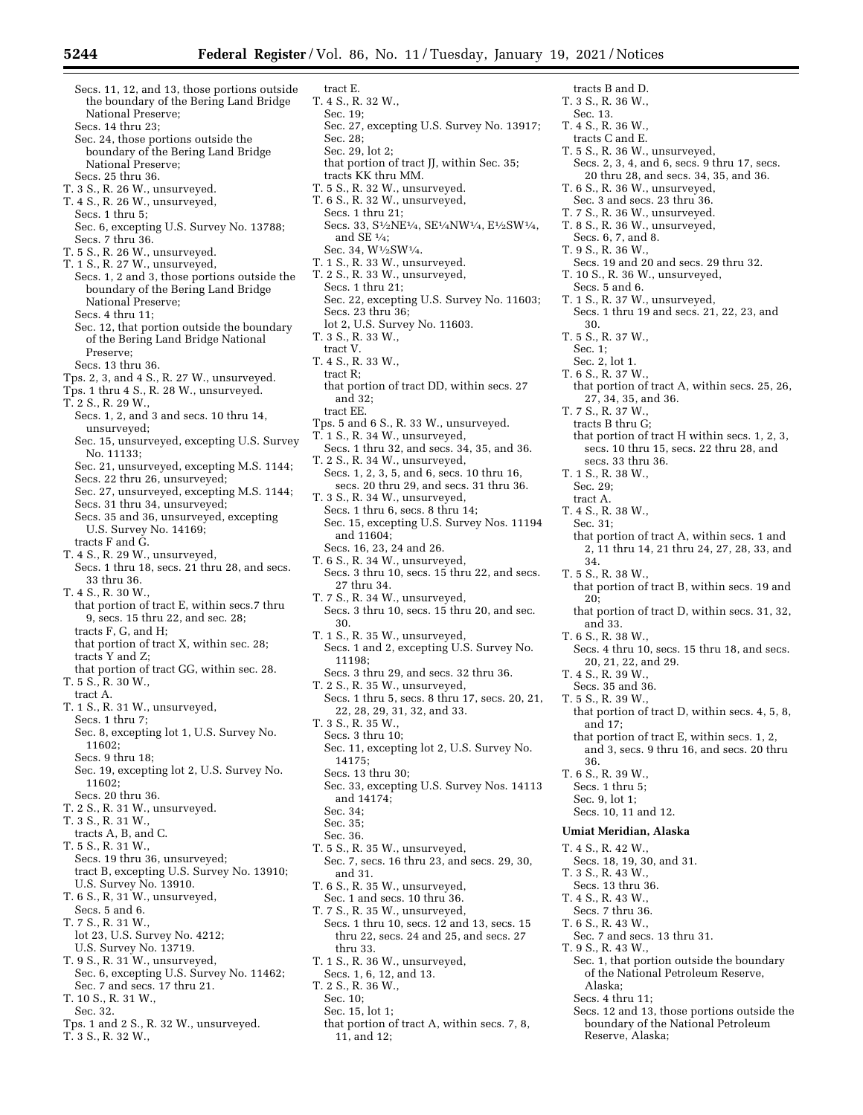- Secs. 11, 12, and 13, those portions outside the boundary of the Bering Land Bridge National Preserve; Secs. 14 thru 23;
- Sec. 24, those portions outside the boundary of the Bering Land Bridge National Preserve;
- Secs. 25 thru 36. T. 3 S., R. 26 W., unsurveyed.
- T. 4 S., R. 26 W., unsurveyed,
- Secs. 1 thru 5;
- Sec. 6, excepting U.S. Survey No. 13788; Secs. 7 thru 36.
- T. 5 S., R. 26 W., unsurveyed.
- T. 1 S., R. 27 W., unsurveyed, Secs. 1, 2 and 3, those portions outside the boundary of the Bering Land Bridge National Preserve;
	- Secs. 4 thru 11;
- Sec. 12, that portion outside the boundary of the Bering Land Bridge National Preserve;
- Secs. 13 thru 36.
- Tps. 2, 3, and 4 S., R. 27 W., unsurveyed.
- Tps. 1 thru 4 S., R. 28 W., unsurveyed.
- T. 2 S., R. 29 W.,
- Secs. 1, 2, and 3 and secs. 10 thru 14, unsurveyed;
- Sec. 15, unsurveyed, excepting U.S. Survey No. 11133;
- Sec. 21, unsurveyed, excepting M.S. 1144;
- Secs. 22 thru 26, unsurveyed;
- Sec. 27, unsurveyed, excepting M.S. 1144; Secs. 31 thru 34, unsurveyed;
- Secs. 35 and 36, unsurveyed, excepting U.S. Survey No. 14169;
- tracts F and G. T. 4 S., R. 29 W., unsurveyed,
- Secs. 1 thru 18, secs. 21 thru 28, and secs. 33 thru 36.

T. 4 S., R. 30 W.,

- that portion of tract E, within secs.7 thru 9, secs. 15 thru 22, and sec. 28; tracts F, G, and H;
- that portion of tract X, within sec. 28; tracts Y and Z;
- that portion of tract GG, within sec. 28. T. 5 S., R. 30 W.,
- tract A.
- T. 1 S., R. 31 W., unsurveyed, Secs. 1 thru 7; Sec. 8, excepting lot 1, U.S. Survey No.
- 11602;
- Secs. 9 thru 18;
- Sec. 19, excepting lot 2, U.S. Survey No. 11602;
- Secs. 20 thru 36.
- T. 2 S., R. 31 W., unsurveyed.
- T. 3 S., R. 31 W., tracts A, B, and C.
- T. 5 S., R. 31 W., Secs. 19 thru 36, unsurveyed; tract B, excepting U.S. Survey No. 13910; U.S. Survey No. 13910.
- T. 6 S., R, 31 W., unsurveyed,
- Secs. 5 and 6. T. 7 S., R. 31 W.,
- lot 23, U.S. Survey No. 4212; U.S. Survey No. 13719. T. 9 S., R. 31 W., unsurveyed,
- Sec. 6, excepting U.S. Survey No. 11462; Sec. 7 and secs. 17 thru 21.
- T. 10 S., R. 31 W.,
- Sec. 32.
- Tps. 1 and 2 S., R. 32 W., unsurveyed.
- T. 3 S., R. 32 W.,
- tract E. T. 4 S., R. 32 W., Sec. 19; Sec. 27, excepting U.S. Survey No. 13917; Sec. 28; Sec. 29, lot 2; that portion of tract JJ, within Sec. 35; tracts KK thru MM. T. 5 S., R. 32 W., unsurveyed. T. 6 S., R. 32 W., unsurveyed, Secs. 1 thru 21; Secs. 33, S1⁄2NE1⁄4, SE1⁄4NW1⁄4, E1⁄2SW1⁄4, and SE 1⁄4; Sec. 34,  $\rm W^{1/}_2\rm SW^{1/}_4.$ T. 1 S., R. 33 W., unsurveyed. T. 2 S., R. 33 W., unsurveyed, Secs. 1 thru 21; Sec. 22, excepting U.S. Survey No. 11603; Secs. 23 thru 36; lot 2, U.S. Survey No. 11603. T. 3 S., R. 33 W., tract V. T. 4 S., R. 33 W., tract R; that portion of tract DD, within secs. 27 and 32; tract EE. Tps. 5 and 6 S., R. 33 W., unsurveyed. T. 1 S., R. 34 W., unsurveyed, Secs. 1 thru 32, and secs. 34, 35, and 36. T. 2 S., R. 34 W., unsurveyed, Secs. 1, 2, 3, 5, and 6, secs. 10 thru 16, secs. 20 thru 29, and secs. 31 thru 36. T. 3 S., R. 34 W., unsurveyed, Secs. 1 thru 6, secs. 8 thru 14; Sec. 15, excepting U.S. Survey Nos. 11194 and 11604; Secs. 16, 23, 24 and 26. T. 6 S., R. 34 W., unsurveyed, Secs. 3 thru 10, secs. 15 thru 22, and secs. 27 thru 34. T. 7 S., R. 34 W., unsurveyed, Secs. 3 thru 10, secs. 15 thru 20, and sec. 30. T. 1 S., R. 35 W., unsurveyed, Secs. 1 and 2, excepting U.S. Survey No. 11198; Secs. 3 thru 29, and secs. 32 thru 36. T. 2 S., R. 35 W., unsurveyed, Secs. 1 thru 5, secs. 8 thru 17, secs. 20, 21, 22, 28, 29, 31, 32, and 33. T. 3 S., R. 35 W.,
- Secs. 3 thru 10; Sec. 11, excepting lot 2, U.S. Survey No. 14175;
- Secs. 13 thru 30;
- Sec. 33, excepting U.S. Survey Nos. 14113 and 14174; Sec. 34;
- Sec. 35;
- Sec. 36.
- T. 5 S., R. 35 W., unsurveyed, Sec. 7, secs. 16 thru 23, and secs. 29, 30, and 31.
- T. 6 S., R. 35 W., unsurveyed, Sec. 1 and secs. 10 thru 36.
- T. 7 S., R. 35 W., unsurveyed, Secs. 1 thru 10, secs. 12 and 13, secs. 15 thru 22, secs. 24 and 25, and secs. 27 thru 33.
- T. 1 S., R. 36 W., unsurveyed,
- Secs. 1, 6, 12, and 13.
- T. 2 S., R. 36 W.,
	- Sec. 10;
	- Sec. 15, lot 1;
	- that portion of tract A, within secs. 7, 8, 11, and 12;
- T. 3 S., R. 36 W., Sec. 13. T. 4 S., R. 36 W., tracts C and E. T. 5 S., R. 36 W., unsurveyed, Secs. 2, 3, 4, and 6, secs. 9 thru 17, secs. 20 thru 28, and secs. 34, 35, and 36. T. 6 S., R. 36 W., unsurveyed, Sec. 3 and secs. 23 thru 36. T. 7 S., R. 36 W., unsurveyed. T. 8 S., R. 36 W., unsurveyed, Secs. 6, 7, and 8. T. 9 S., R. 36 W., Secs. 19 and 20 and secs. 29 thru 32. T. 10 S., R. 36 W., unsurveyed, Secs. 5 and 6. T. 1 S., R. 37 W., unsurveyed, Secs. 1 thru 19 and secs. 21, 22, 23, and 30. T. 5 S., R. 37 W., Sec. 1; Sec. 2, lot 1. T. 6 S., R. 37 W., that portion of tract A, within secs. 25, 26, 27, 34, 35, and 36. T. 7 S., R. 37 W., tracts B thru G; that portion of tract H within secs. 1, 2, 3, secs. 10 thru 15, secs. 22 thru 28, and secs. 33 thru 36. T. 1 S., R. 38 W., Sec. 29; tract A. T. 4 S., R. 38 W., Sec. 31; that portion of tract A, within secs. 1 and 2, 11 thru 14, 21 thru 24, 27, 28, 33, and 34. T. 5 S., R. 38 W., that portion of tract B, within secs. 19 and 20; that portion of tract D, within secs. 31, 32, and 33. T. 6 S., R. 38 W., Secs. 4 thru 10, secs. 15 thru 18, and secs. 20, 21, 22, and 29. T. 4 S., R. 39 W., Secs. 35 and 36. T. 5 S., R. 39 W., that portion of tract D, within secs. 4, 5, 8, and 17; that portion of tract E, within secs. 1, 2, and 3, secs. 9 thru 16, and secs. 20 thru 36. T. 6 S., R. 39 W., Secs. 1 thru 5; Sec. 9, lot 1; Secs. 10, 11 and 12. **Umiat Meridian, Alaska**  T. 4 S., R. 42 W., Secs. 18, 19, 30, and 31. T. 3 S., R. 43 W., Secs. 13 thru 36. T. 4 S., R. 43 W., Secs. 7 thru 36. T. 6 S., R. 43 W., Sec. 7 and secs. 13 thru 31. T. 9 S., R. 43 W., Sec. 1, that portion outside the boundary of the National Petroleum Reserve, Alaska; Secs. 4 thru 11; Secs. 12 and 13, those portions outside the

tracts B and D.

boundary of the National Petroleum Reserve, Alaska;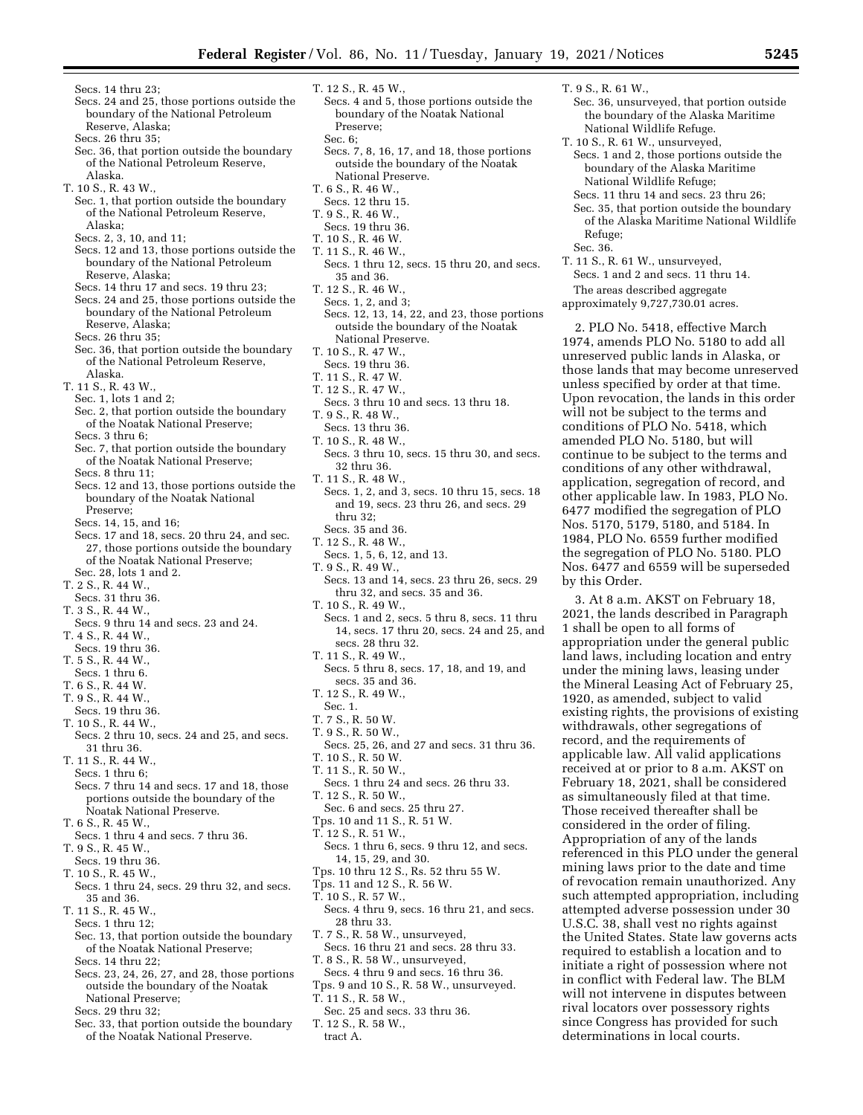T. 9 S., R. 61 W.,

Refuge; Sec. 36.

by this Order.

Sec. 36, unsurveyed, that portion outside the boundary of the Alaska Maritime

Secs. 1 and 2, those portions outside the boundary of the Alaska Maritime National Wildlife Refuge; Secs. 11 thru 14 and secs. 23 thru 26; Sec. 35, that portion outside the boundary of the Alaska Maritime National Wildlife

2. PLO No. 5418, effective March 1974, amends PLO No. 5180 to add all unreserved public lands in Alaska, or those lands that may become unreserved unless specified by order at that time. Upon revocation, the lands in this order will not be subject to the terms and conditions of PLO No. 5418, which amended PLO No. 5180, but will continue to be subject to the terms and conditions of any other withdrawal, application, segregation of record, and other applicable law. In 1983, PLO No. 6477 modified the segregation of PLO Nos. 5170, 5179, 5180, and 5184. In 1984, PLO No. 6559 further modified the segregation of PLO No. 5180. PLO Nos. 6477 and 6559 will be superseded

3. At 8 a.m. AKST on February 18, 2021, the lands described in Paragraph

appropriation under the general public land laws, including location and entry under the mining laws, leasing under the Mineral Leasing Act of February 25, 1920, as amended, subject to valid existing rights, the provisions of existing withdrawals, other segregations of record, and the requirements of applicable law. All valid applications received at or prior to 8 a.m. AKST on February 18, 2021, shall be considered as simultaneously filed at that time. Those received thereafter shall be considered in the order of filing. Appropriation of any of the lands referenced in this PLO under the general mining laws prior to the date and time of revocation remain unauthorized. Any such attempted appropriation, including attempted adverse possession under 30 U.S.C. 38, shall vest no rights against the United States. State law governs acts required to establish a location and to initiate a right of possession where not in conflict with Federal law. The BLM will not intervene in disputes between rival locators over possessory rights since Congress has provided for such determinations in local courts.

1 shall be open to all forms of

National Wildlife Refuge. T. 10 S., R. 61 W., unsurveyed,

T. 11 S., R. 61 W., unsurveyed, Secs. 1 and 2 and secs. 11 thru 14. The areas described aggregate approximately 9,727,730.01 acres.

Secs. 14 thru 23;

- Secs. 24 and 25, those portions outside the boundary of the National Petroleum Reserve, Alaska;
- Secs. 26 thru 35;
- Sec. 36, that portion outside the boundary of the National Petroleum Reserve, Alaska.
- T. 10 S., R. 43 W.,
- Sec. 1, that portion outside the boundary of the National Petroleum Reserve, Alaska;
- Secs. 2, 3, 10, and 11;
- Secs. 12 and 13, those portions outside the boundary of the National Petroleum Reserve, Alaska;
- Secs. 14 thru 17 and secs. 19 thru 23;
- Secs. 24 and 25, those portions outside the boundary of the National Petroleum Reserve, Alaska; Secs. 26 thru 35;
- Sec. 36, that portion outside the boundary of the National Petroleum Reserve,
- Alaska. T. 11 S., R. 43 W.,
- Sec. 1, lots 1 and 2;
- Sec. 2, that portion outside the boundary of the Noatak National Preserve; Secs. 3 thru 6;
- Sec. 7, that portion outside the boundary of the Noatak National Preserve;
- Secs. 8 thru 11;
- Secs. 12 and 13, those portions outside the boundary of the Noatak National Preserve;
- Secs. 14, 15, and 16;
- Secs. 17 and 18, secs. 20 thru 24, and sec. 27, those portions outside the boundary of the Noatak National Preserve; Sec. 28, lots 1 and 2.
- T. 2 S., R. 44 W.,
- Secs. 31 thru 36.
- T. 3 S., R. 44 W.,
- Secs. 9 thru 14 and secs. 23 and 24.
- T. 4 S., R. 44 W.,
- Secs. 19 thru 36.
- T. 5 S., R. 44 W.,
- Secs. 1 thru 6.
- T. 6 S., R. 44 W.
- T. 9 S., R. 44 W.,
- Secs. 19 thru 36.
- T. 10 S., R. 44 W., Secs. 2 thru 10, secs. 24 and 25, and secs.
- 31 thru 36.
- T. 11 S., R. 44 W., Secs. 1 thru 6;
- Secs. 7 thru 14 and secs. 17 and 18, those portions outside the boundary of the Noatak National Preserve.
- T. 6 S., R. 45 W.,
- Secs. 1 thru 4 and secs. 7 thru 36.
- T. 9 S., R. 45 W.,
- Secs. 19 thru 36.
- T. 10 S., R. 45 W.,
- Secs. 1 thru 24, secs. 29 thru 32, and secs. 35 and 36.
- T. 11 S., R. 45 W., Secs. 1 thru 12;
- Sec. 13, that portion outside the boundary of the Noatak National Preserve; Secs. 14 thru 22;
- Secs. 23, 24, 26, 27, and 28, those portions outside the boundary of the Noatak National Preserve;
- Secs. 29 thru 32;
- Sec. 33, that portion outside the boundary of the Noatak National Preserve.
- T. 12 S., R. 45 W.,
- Secs. 4 and 5, those portions outside the boundary of the Noatak National Preserve;
	- Sec. 6:
- Secs. 7, 8, 16, 17, and 18, those portions outside the boundary of the Noatak National Preserve.
- T. 6 S., R. 46 W.,
- Secs. 12 thru 15.
- T. 9 S., R. 46 W.,
- Secs. 19 thru 36.
- T. 10 S., R. 46 W.
- T. 11 S., R. 46 W., Secs. 1 thru 12, secs. 15 thru 20, and secs.
- 35 and 36.
- T. 12 S., R. 46 W.,
- Secs. 1, 2, and 3; Secs. 12, 13, 14, 22, and 23, those portions outside the boundary of the Noatak National Preserve.
- T. 10 S., R. 47 W.,
- Secs. 19 thru 36.
- T. 11 S., R. 47 W.
- T. 12 S., R. 47 W.,
- Secs. 3 thru 10 and secs. 13 thru 18. T. 9 S., R. 48 W.,
- Secs. 13 thru 36.
- T. 10 S., R. 48 W.,
- Secs. 3 thru 10, secs. 15 thru 30, and secs. 32 thru 36.
- T. 11 S., R. 48 W.,
- Secs. 1, 2, and 3, secs. 10 thru 15, secs. 18 and 19, secs. 23 thru 26, and secs. 29 thru 32; Secs. 35 and 36.
- T. 12 S., R. 48 W.,
- Secs. 1, 5, 6, 12, and 13.
- T. 9 S., R. 49 W.,
- Secs. 13 and 14, secs. 23 thru 26, secs. 29 thru 32, and secs. 35 and 36.
- T. 10 S., R. 49 W.,
- Secs. 1 and 2, secs. 5 thru 8, secs. 11 thru 14, secs. 17 thru 20, secs. 24 and 25, and secs. 28 thru 32.
- T. 11 S., R. 49 W.,
- Secs. 5 thru 8, secs. 17, 18, and 19, and secs. 35 and 36.
- T. 12 S., R. 49 W.,
- Sec. 1.
- T. 7 S., R. 50 W.
- T. 9 S., R. 50 W.,
- Secs. 25, 26, and 27 and secs. 31 thru 36. T. 10 S., R. 50 W.
- T. 11 S., R. 50 W.,
- Secs. 1 thru 24 and secs. 26 thru 33.
- T. 12 S., R. 50 W.,
- Sec. 6 and secs. 25 thru 27.
- Tps. 10 and 11 S., R. 51 W.
- T. 12 S., R. 51 W.,
- Secs. 1 thru 6, secs. 9 thru 12, and secs. 14, 15, 29, and 30.
- Tps. 10 thru 12 S., Rs. 52 thru 55 W.
- Tps. 11 and 12 S., R. 56 W.
- T. 10 S., R. 57 W.,
- Secs. 4 thru 9, secs. 16 thru 21, and secs. 28 thru 33.
- T. 7 S., R. 58 W., unsurveyed,
- Secs. 16 thru 21 and secs. 28 thru 33. T. 8 S., R. 58 W., unsurveyed,
- Secs. 4 thru 9 and secs. 16 thru 36. Tps. 9 and 10 S., R. 58 W., unsurveyed.
- T. 11 S., R. 58 W.,
- Sec. 25 and secs. 33 thru 36.
- T. 12 S., R. 58 W., tract A.